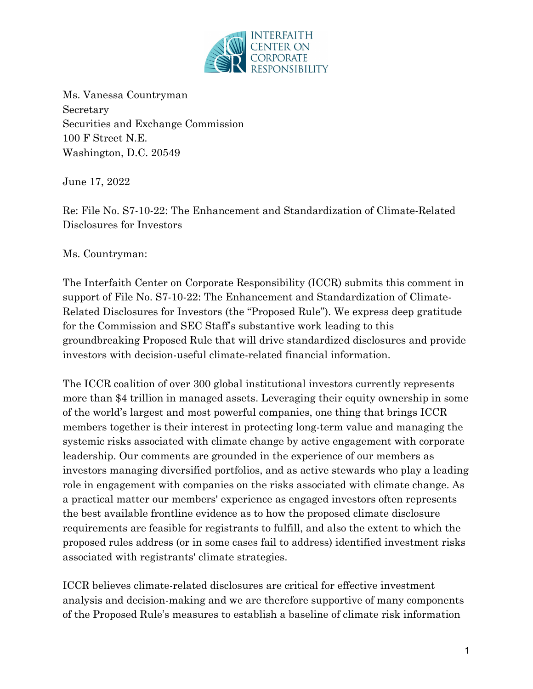

Ms. Vanessa Countryman Secretary Securities and Exchange Commission 100 F Street N.E. Washington, D.C. 20549

June 17, 2022

Re: File No. S7-10-22: The Enhancement and Standardization of Climate-Related Disclosures for Investors

Ms. Countryman:

The Interfaith Center on Corporate Responsibility (ICCR) submits this comment in support of File No. S7-10-22: The Enhancement and Standardization of Climate-Related Disclosures for Investors (the "Proposed Rule"). We express deep gratitude for the Commission and SEC Staff's substantive work leading to this groundbreaking Proposed Rule that will drive standardized disclosures and provide investors with decision-useful climate-related financial information.

The ICCR coalition of over 300 global institutional investors currently represents more than \$4 trillion in managed assets. Leveraging their equity ownership in some of the world's largest and most powerful companies, one thing that brings ICCR members together is their interest in protecting long-term value and managing the systemic risks associated with climate change by active engagement with corporate leadership. Our comments are grounded in the experience of our members as investors managing diversified portfolios, and as active stewards who play a leading role in engagement with companies on the risks associated with climate change. As a practical matter our members' experience as engaged investors often represents the best available frontline evidence as to how the proposed climate disclosure requirements are feasible for registrants to fulfill, and also the extent to which the proposed rules address (or in some cases fail to address) identified investment risks associated with registrants' climate strategies.

ICCR believes climate-related disclosures are critical for effective investment analysis and decision-making and we are therefore supportive of many components of the Proposed Rule's measures to establish a baseline of climate risk information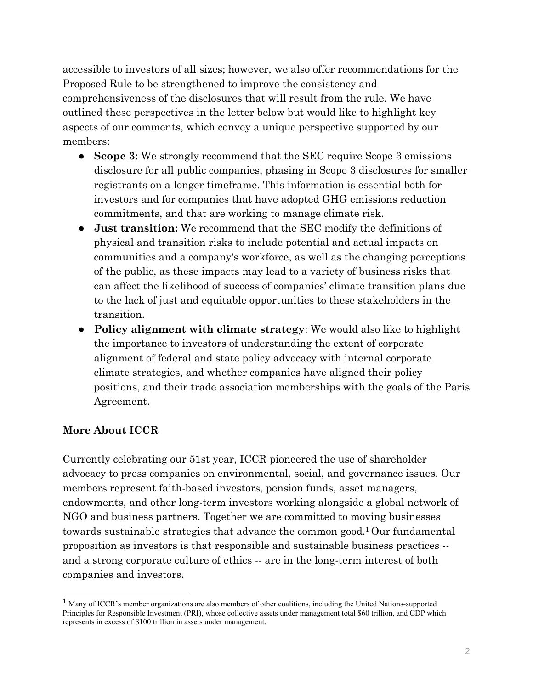accessible to investors of all sizes; however, we also offer recommendations for the Proposed Rule to be strengthened to improve the consistency and comprehensiveness of the disclosures that will result from the rule. We have outlined these perspectives in the letter below but would like to highlight key aspects of our comments, which convey a unique perspective supported by our members:

- **Scope 3:** We strongly recommend that the SEC require Scope 3 emissions disclosure for all public companies, phasing in Scope 3 disclosures for smaller registrants on a longer timeframe. This information is essential both for investors and for companies that have adopted GHG emissions reduction commitments, and that are working to manage climate risk.
- **Just transition:** We recommend that the SEC modify the definitions of physical and transition risks to include potential and actual impacts on communities and a company's workforce, as well as the changing perceptions of the public, as these impacts may lead to a variety of business risks that can affect the likelihood of success of companies' climate transition plans due to the lack of just and equitable opportunities to these stakeholders in the transition.
- **Policy alignment with climate strategy**: We would also like to highlight the importance to investors of understanding the extent of corporate alignment of federal and state policy advocacy with internal corporate climate strategies, and whether companies have aligned their policy positions, and their trade association memberships with the goals of the Paris Agreement.

# **More About ICCR**

Currently celebrating our 51st year, ICCR pioneered the use of shareholder advocacy to press companies on environmental, social, and governance issues. Our members represent faith-based investors, pension funds, asset managers, endowments, and other long-term investors working alongside a global network of NGO and business partners. Together we are committed to moving businesses towards sustainable strategies that advance the common good.1 Our fundamental proposition as investors is that responsible and sustainable business practices - and a strong corporate culture of ethics -- are in the long-term interest of both companies and investors.

<sup>&</sup>lt;sup>1</sup> Many of ICCR's member organizations are also members of other coalitions, including the United Nations-supported Principles for Responsible Investment (PRI), whose collective assets under management total \$60 trillion, and CDP which represents in excess of \$100 trillion in assets under management.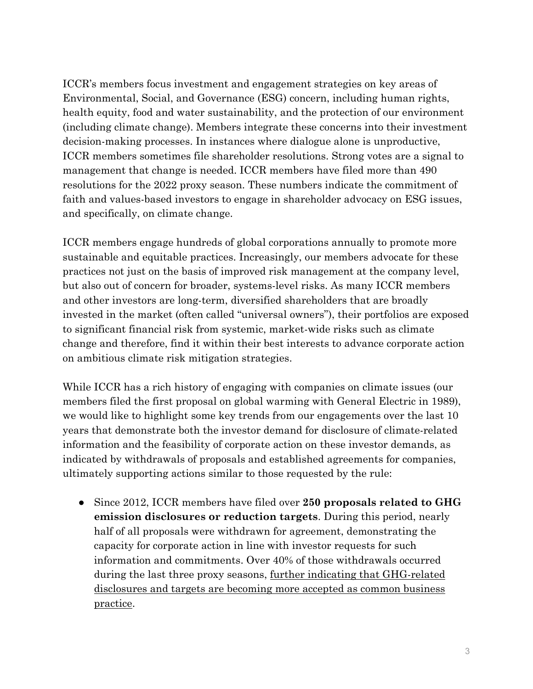ICCR's members focus investment and engagement strategies on key areas of Environmental, Social, and Governance (ESG) concern, including human rights, health equity, food and water sustainability, and the protection of our environment (including climate change). Members integrate these concerns into their investment decision-making processes. In instances where dialogue alone is unproductive, ICCR members sometimes file shareholder resolutions. Strong votes are a signal to management that change is needed. ICCR members have filed more than 490 resolutions for the 2022 proxy season. These numbers indicate the commitment of faith and values-based investors to engage in shareholder advocacy on ESG issues, and specifically, on climate change.

ICCR members engage hundreds of global corporations annually to promote more sustainable and equitable practices. Increasingly, our members advocate for these practices not just on the basis of improved risk management at the company level, but also out of concern for broader, systems-level risks. As many ICCR members and other investors are long-term, diversified shareholders that are broadly invested in the market (often called "universal owners"), their portfolios are exposed to significant financial risk from systemic, market-wide risks such as climate change and therefore, find it within their best interests to advance corporate action on ambitious climate risk mitigation strategies.

While ICCR has a rich history of engaging with companies on climate issues (our members filed the first proposal on global warming with General Electric in 1989), we would like to highlight some key trends from our engagements over the last 10 years that demonstrate both the investor demand for disclosure of climate-related information and the feasibility of corporate action on these investor demands, as indicated by withdrawals of proposals and established agreements for companies, ultimately supporting actions similar to those requested by the rule:

● Since 2012, ICCR members have filed over **250 proposals related to GHG emission disclosures or reduction targets**. During this period, nearly half of all proposals were withdrawn for agreement, demonstrating the capacity for corporate action in line with investor requests for such information and commitments. Over 40% of those withdrawals occurred during the last three proxy seasons, further indicating that GHG-related disclosures and targets are becoming more accepted as common business practice.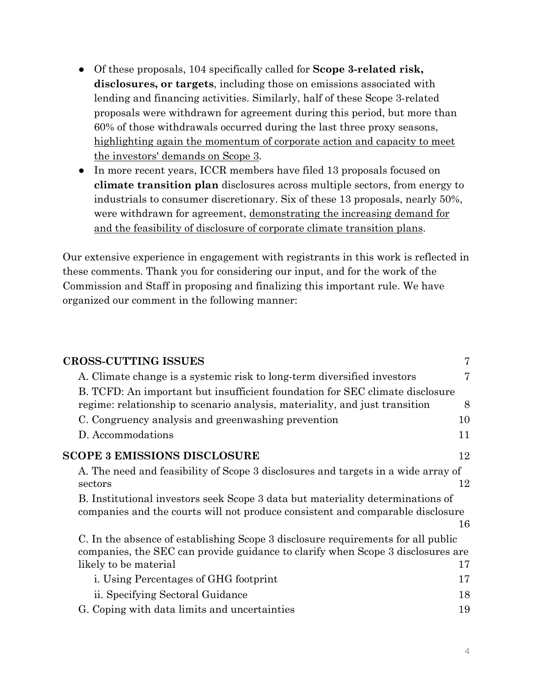- Of these proposals, 104 specifically called for **Scope 3-related risk, disclosures, or targets**, including those on emissions associated with lending and financing activities. Similarly, half of these Scope 3-related proposals were withdrawn for agreement during this period, but more than 60% of those withdrawals occurred during the last three proxy seasons, highlighting again the momentum of corporate action and capacity to meet the investors' demands on Scope 3.
- In more recent years, ICCR members have filed 13 proposals focused on **climate transition plan** disclosures across multiple sectors, from energy to industrials to consumer discretionary. Six of these 13 proposals, nearly 50%, were withdrawn for agreement, demonstrating the increasing demand for and the feasibility of disclosure of corporate climate transition plans.

Our extensive experience in engagement with registrants in this work is reflected in these comments. Thank you for considering our input, and for the work of the Commission and Staff in proposing and finalizing this important rule. We have organized our comment in the following manner:

| <b>CROSS-CUTTING ISSUES</b>                                                                                                                                      | 7  |
|------------------------------------------------------------------------------------------------------------------------------------------------------------------|----|
| A. Climate change is a systemic risk to long-term diversified investors                                                                                          | 7  |
| B. TCFD: An important but insufficient foundation for SEC climate disclosure                                                                                     |    |
| regime: relationship to scenario analysis, materiality, and just transition                                                                                      | 8  |
| C. Congruency analysis and greenwashing prevention                                                                                                               | 10 |
| D. Accommodations                                                                                                                                                | 11 |
| <b>SCOPE 3 EMISSIONS DISCLOSURE</b>                                                                                                                              | 12 |
| A. The need and feasibility of Scope 3 disclosures and targets in a wide array of<br>sectors                                                                     | 12 |
| B. Institutional investors seek Scope 3 data but materiality determinations of<br>companies and the courts will not produce consistent and comparable disclosure | 16 |
| C. In the absence of establishing Scope 3 disclosure requirements for all public                                                                                 |    |
| companies, the SEC can provide guidance to clarify when Scope 3 disclosures are                                                                                  |    |
| likely to be material                                                                                                                                            | 17 |
| <i>i.</i> Using Percentages of GHG footprint                                                                                                                     | 17 |
| ii. Specifying Sectoral Guidance                                                                                                                                 | 18 |
| G. Coping with data limits and uncertainties                                                                                                                     | 19 |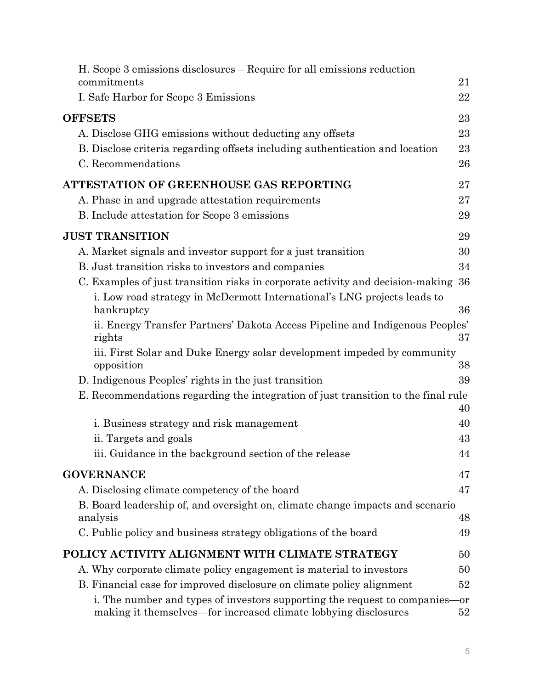| H. Scope 3 emissions disclosures – Require for all emissions reduction<br>commitments                                                       | 21        |
|---------------------------------------------------------------------------------------------------------------------------------------------|-----------|
| I. Safe Harbor for Scope 3 Emissions                                                                                                        | 22        |
| <b>OFFSETS</b>                                                                                                                              | 23        |
| A. Disclose GHG emissions without deducting any offsets                                                                                     | 23        |
| B. Disclose criteria regarding offsets including authentication and location                                                                | 23        |
| C. Recommendations                                                                                                                          | 26        |
| ATTESTATION OF GREENHOUSE GAS REPORTING                                                                                                     | 27        |
| A. Phase in and upgrade attestation requirements                                                                                            | 27        |
| B. Include attestation for Scope 3 emissions                                                                                                | 29        |
| <b>JUST TRANSITION</b>                                                                                                                      | 29        |
| A. Market signals and investor support for a just transition                                                                                | 30        |
| B. Just transition risks to investors and companies                                                                                         | 34        |
| C. Examples of just transition risks in corporate activity and decision-making                                                              | 36        |
| i. Low road strategy in McDermott International's LNG projects leads to<br>bankruptcy                                                       | 36        |
| ii. Energy Transfer Partners' Dakota Access Pipeline and Indigenous Peoples'<br>rights                                                      | 37        |
| iii. First Solar and Duke Energy solar development impeded by community<br>opposition                                                       | 38        |
| D. Indigenous Peoples' rights in the just transition                                                                                        | 39        |
| E. Recommendations regarding the integration of just transition to the final rule                                                           |           |
|                                                                                                                                             | 40        |
| i. Business strategy and risk management                                                                                                    | 40        |
| ii. Targets and goals                                                                                                                       | 43        |
| iii. Guidance in the background section of the release                                                                                      | 44        |
| <b>GOVERNANCE</b>                                                                                                                           | 47        |
| A. Disclosing climate competency of the board                                                                                               | 47        |
| B. Board leadership of, and oversight on, climate change impacts and scenario                                                               | 48        |
| analysis<br>C. Public policy and business strategy obligations of the board                                                                 | 49        |
|                                                                                                                                             |           |
| POLICY ACTIVITY ALIGNMENT WITH CLIMATE STRATEGY                                                                                             | 50        |
| A. Why corporate climate policy engagement is material to investors                                                                         | 50        |
| B. Financial case for improved disclosure on climate policy alignment                                                                       | 52        |
| i. The number and types of investors supporting the request to companies<br>making it themselves—for increased climate lobbying disclosures | -or<br>52 |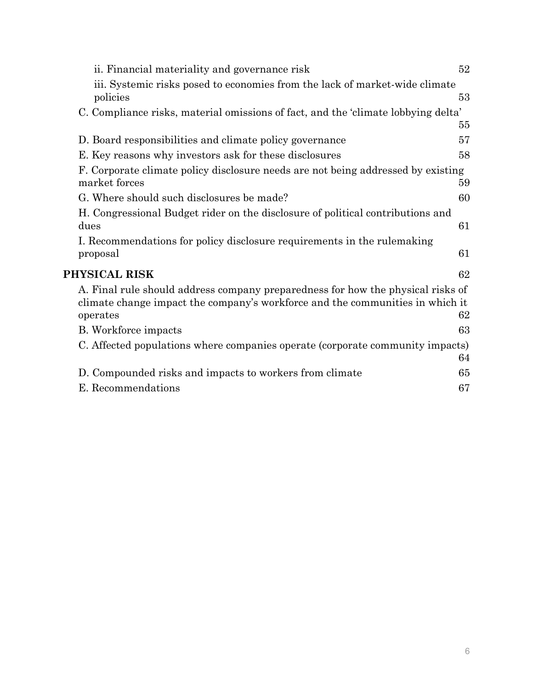|               | ii. Financial materiality and governance risk                                                                                                                    | 52 |
|---------------|------------------------------------------------------------------------------------------------------------------------------------------------------------------|----|
| policies      | iii. Systemic risks posed to economies from the lack of market-wide climate                                                                                      | 53 |
|               | C. Compliance risks, material omissions of fact, and the 'climate lobbying delta'                                                                                |    |
|               |                                                                                                                                                                  | 55 |
|               | D. Board responsibilities and climate policy governance                                                                                                          | 57 |
|               | E. Key reasons why investors ask for these disclosures                                                                                                           | 58 |
| market forces | F. Corporate climate policy disclosure needs are not being addressed by existing                                                                                 | 59 |
|               | G. Where should such disclosures be made?                                                                                                                        | 60 |
|               | H. Congressional Budget rider on the disclosure of political contributions and                                                                                   |    |
| dues          |                                                                                                                                                                  | 61 |
| proposal      | I. Recommendations for policy disclosure requirements in the rulemaking                                                                                          | 61 |
| PHYSICAL RISK |                                                                                                                                                                  | 62 |
| operates      | A. Final rule should address company preparedness for how the physical risks of<br>climate change impact the company's workforce and the communities in which it | 62 |
|               | B. Workforce impacts                                                                                                                                             | 63 |
|               | C. Affected populations where companies operate (corporate community impacts)                                                                                    | 64 |
|               | D. Compounded risks and impacts to workers from climate                                                                                                          | 65 |
|               | E. Recommendations                                                                                                                                               | 67 |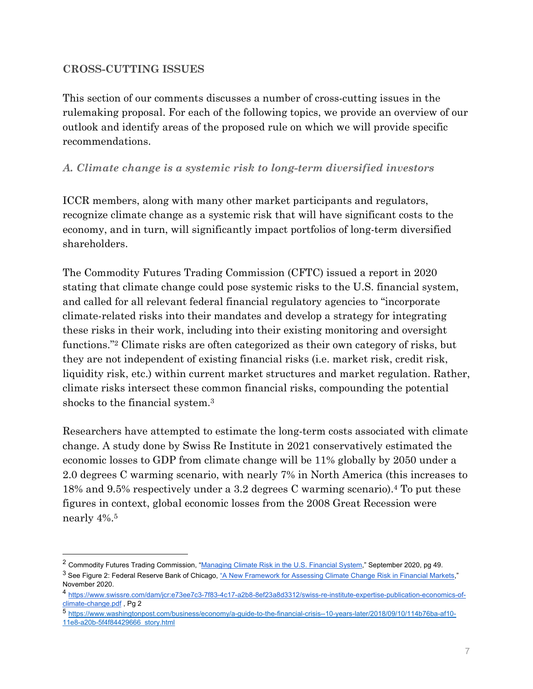### **CROSS-CUTTING ISSUES**

This section of our comments discusses a number of cross-cutting issues in the rulemaking proposal. For each of the following topics, we provide an overview of our outlook and identify areas of the proposed rule on which we will provide specific recommendations.

### *A. Climate change is a systemic risk to long-term diversified investors*

ICCR members, along with many other market participants and regulators, recognize climate change as a systemic risk that will have significant costs to the economy, and in turn, will significantly impact portfolios of long-term diversified shareholders.

The Commodity Futures Trading Commission (CFTC) issued a report in 2020 stating that climate change could pose systemic risks to the U.S. financial system, and called for all relevant federal financial regulatory agencies to "incorporate climate-related risks into their mandates and develop a strategy for integrating these risks in their work, including into their existing monitoring and oversight functions."2 Climate risks are often categorized as their own category of risks, but they are not independent of existing financial risks (i.e. market risk, credit risk, liquidity risk, etc.) within current market structures and market regulation. Rather, climate risks intersect these common financial risks, compounding the potential shocks to the financial system.3

Researchers have attempted to estimate the long-term costs associated with climate change. A study done by Swiss Re Institute in 2021 conservatively estimated the economic losses to GDP from climate change will be 11% globally by 2050 under a 2.0 degrees C warming scenario, with nearly 7% in North America (this increases to 18% and 9.5% respectively under a 3.2 degrees C warming scenario).4 To put these figures in context, global economic losses from the 2008 Great Recession were nearly 4%.5

<sup>&</sup>lt;sup>2</sup> Commodity Futures Trading Commission, "Managing Climate Risk in the U.S. Financial System," September 2020, pg 49.  $3$  See Figure 2: Federal Reserve Bank of Chicago, "A New Framework for Assessing Climate Change Risk in Financial Markets," November 2020.

<sup>4</sup> https://www.swissre.com/dam/jcr:e73ee7c3-7f83-4c17-a2b8-8ef23a8d3312/swiss-re-institute-expertise-publication-economics-ofclimate-change.pdf , Pg 2

<sup>5</sup> https://www.washingtonpost.com/business/economy/a-guide-to-the-financial-crisis--10-years-later/2018/09/10/114b76ba-af10- 11e8-a20b-5f4f84429666\_story.html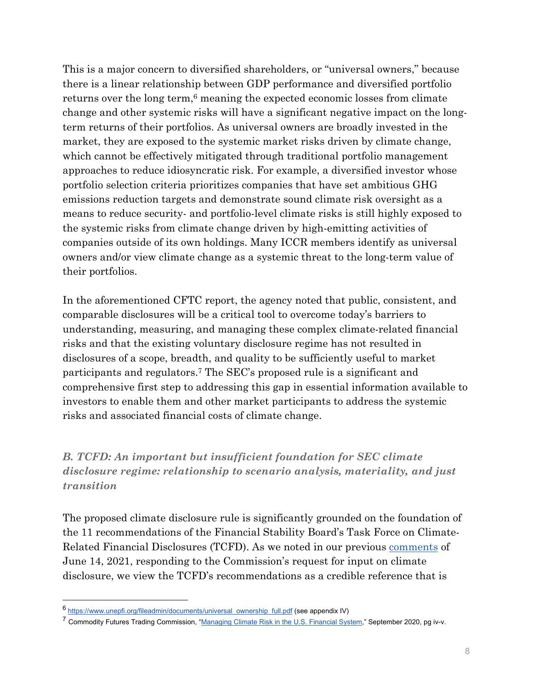This is a major concern to diversified shareholders, or "universal owners," because there is a linear relationship between GDP performance and diversified portfolio returns over the long term,<sup>6</sup> meaning the expected economic losses from climate change and other systemic risks will have a significant negative impact on the longterm returns of their portfolios. As universal owners are broadly invested in the market, they are exposed to the systemic market risks driven by climate change, which cannot be effectively mitigated through traditional portfolio management approaches to reduce idiosyncratic risk. For example, a diversified investor whose portfolio selection criteria prioritizes companies that have set ambitious GHG emissions reduction targets and demonstrate sound climate risk oversight as a means to reduce security- and portfolio-level climate risks is still highly exposed to the systemic risks from climate change driven by high-emitting activities of companies outside of its own holdings. Many ICCR members identify as universal owners and/or view climate change as a systemic threat to the long-term value of their portfolios.

In the aforementioned CFTC report, the agency noted that public, consistent, and comparable disclosures will be a critical tool to overcome today's barriers to understanding, measuring, and managing these complex climate-related financial risks and that the existing voluntary disclosure regime has not resulted in disclosures of a scope, breadth, and quality to be sufficiently useful to market participants and regulators.7 The SEC's proposed rule is a significant and comprehensive first step to addressing this gap in essential information available to investors to enable them and other market participants to address the systemic risks and associated financial costs of climate change.

*B. TCFD: An important but insufficient foundation for SEC climate disclosure regime: relationship to scenario analysis, materiality, and just transition* 

The proposed climate disclosure rule is significantly grounded on the foundation of the 11 recommendations of the Financial Stability Board's Task Force on Climate-Related Financial Disclosures (TCFD). As we noted in our previous comments of June 14, 2021, responding to the Commission's request for input on climate disclosure, we view the TCFD's recommendations as a credible reference that is

<sup>6</sup> https://www.unepfi.org/fileadmin/documents/universal\_ownership\_full.pdf (see appendix IV)

 $^7$  Commodity Futures Trading Commission, "Managing Climate Risk in the U.S. Financial System," September 2020, pg iv-v.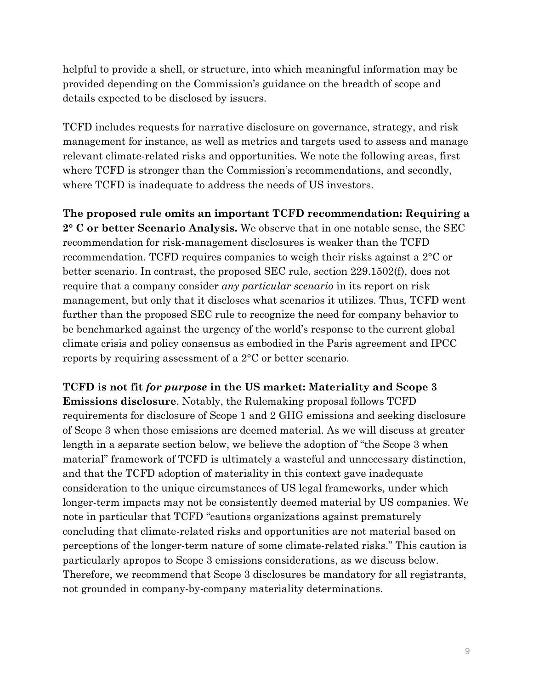helpful to provide a shell, or structure, into which meaningful information may be provided depending on the Commission's guidance on the breadth of scope and details expected to be disclosed by issuers.

TCFD includes requests for narrative disclosure on governance, strategy, and risk management for instance, as well as metrics and targets used to assess and manage relevant climate-related risks and opportunities. We note the following areas, first where TCFD is stronger than the Commission's recommendations, and secondly, where TCFD is inadequate to address the needs of US investors.

**The proposed rule omits an important TCFD recommendation: Requiring a 2° C or better Scenario Analysis.** We observe that in one notable sense, the SEC recommendation for risk-management disclosures is weaker than the TCFD recommendation. TCFD requires companies to weigh their risks against a 2°C or better scenario. In contrast, the proposed SEC rule, section 229.1502(f), does not require that a company consider *any particular scenario* in its report on risk management, but only that it discloses what scenarios it utilizes. Thus, TCFD went further than the proposed SEC rule to recognize the need for company behavior to be benchmarked against the urgency of the world's response to the current global climate crisis and policy consensus as embodied in the Paris agreement and IPCC reports by requiring assessment of a 2°C or better scenario.

**TCFD is not fit** *for purpose* **in the US market: Materiality and Scope 3 Emissions disclosure**. Notably, the Rulemaking proposal follows TCFD requirements for disclosure of Scope 1 and 2 GHG emissions and seeking disclosure of Scope 3 when those emissions are deemed material. As we will discuss at greater length in a separate section below, we believe the adoption of "the Scope 3 when material" framework of TCFD is ultimately a wasteful and unnecessary distinction, and that the TCFD adoption of materiality in this context gave inadequate consideration to the unique circumstances of US legal frameworks, under which longer-term impacts may not be consistently deemed material by US companies. We note in particular that TCFD "cautions organizations against prematurely concluding that climate-related risks and opportunities are not material based on perceptions of the longer-term nature of some climate-related risks." This caution is particularly apropos to Scope 3 emissions considerations, as we discuss below. Therefore, we recommend that Scope 3 disclosures be mandatory for all registrants, not grounded in company-by-company materiality determinations.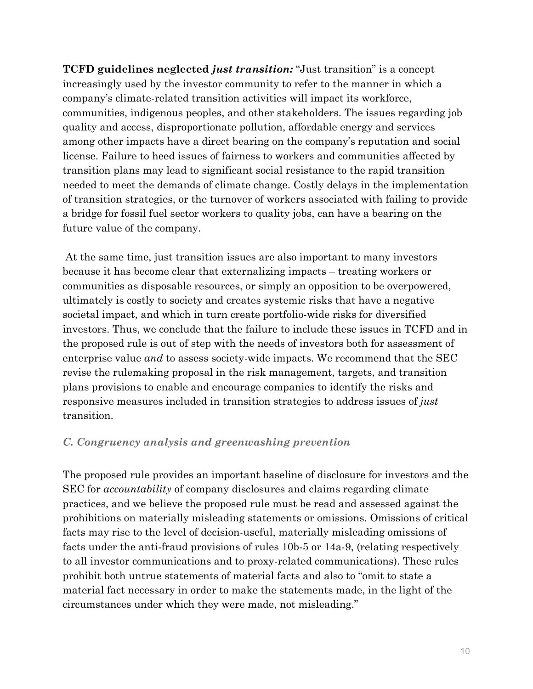**TCFD guidelines neglected** *just transition:* "Just transition" is a concept increasingly used by the investor community to refer to the manner in which a company's climate-related transition activities will impact its workforce, communities, indigenous peoples, and other stakeholders. The issues regarding job quality and access, disproportionate pollution, affordable energy and services among other impacts have a direct bearing on the company's reputation and social license. Failure to heed issues of fairness to workers and communities affected by transition plans may lead to significant social resistance to the rapid transition needed to meet the demands of climate change. Costly delays in the implementation of transition strategies, or the turnover of workers associated with failing to provide a bridge for fossil fuel sector workers to quality jobs, can have a bearing on the future value of the company.

 At the same time, just transition issues are also important to many investors because it has become clear that externalizing impacts – treating workers or communities as disposable resources, or simply an opposition to be overpowered, ultimately is costly to society and creates systemic risks that have a negative societal impact, and which in turn create portfolio-wide risks for diversified investors. Thus, we conclude that the failure to include these issues in TCFD and in the proposed rule is out of step with the needs of investors both for assessment of enterprise value *and* to assess society-wide impacts. We recommend that the SEC revise the rulemaking proposal in the risk management, targets, and transition plans provisions to enable and encourage companies to identify the risks and responsive measures included in transition strategies to address issues of *just* transition.

#### *C. Congruency analysis and greenwashing prevention*

The proposed rule provides an important baseline of disclosure for investors and the SEC for *accountability* of company disclosures and claims regarding climate practices, and we believe the proposed rule must be read and assessed against the prohibitions on materially misleading statements or omissions. Omissions of critical facts may rise to the level of decision-useful, materially misleading omissions of facts under the anti-fraud provisions of rules 10b-5 or 14a-9, (relating respectively to all investor communications and to proxy-related communications). These rules prohibit both untrue statements of material facts and also to "omit to state a material fact necessary in order to make the statements made, in the light of the circumstances under which they were made, not misleading."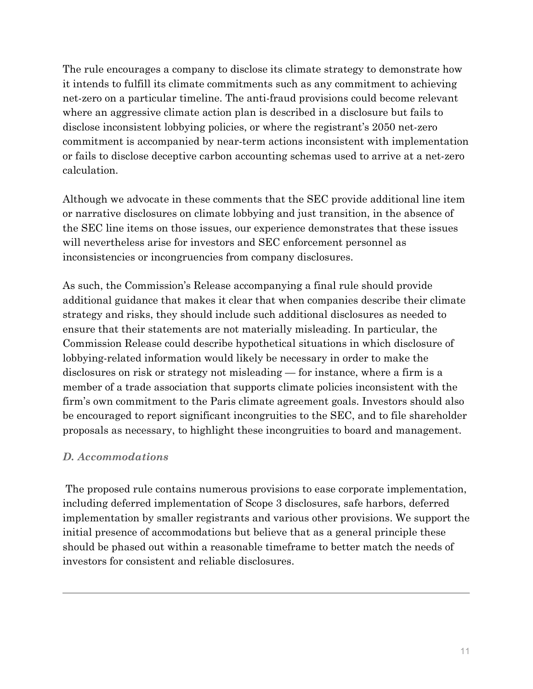The rule encourages a company to disclose its climate strategy to demonstrate how it intends to fulfill its climate commitments such as any commitment to achieving net-zero on a particular timeline. The anti-fraud provisions could become relevant where an aggressive climate action plan is described in a disclosure but fails to disclose inconsistent lobbying policies, or where the registrant's 2050 net-zero commitment is accompanied by near-term actions inconsistent with implementation or fails to disclose deceptive carbon accounting schemas used to arrive at a net-zero calculation.

Although we advocate in these comments that the SEC provide additional line item or narrative disclosures on climate lobbying and just transition, in the absence of the SEC line items on those issues, our experience demonstrates that these issues will nevertheless arise for investors and SEC enforcement personnel as inconsistencies or incongruencies from company disclosures.

As such, the Commission's Release accompanying a final rule should provide additional guidance that makes it clear that when companies describe their climate strategy and risks, they should include such additional disclosures as needed to ensure that their statements are not materially misleading. In particular, the Commission Release could describe hypothetical situations in which disclosure of lobbying-related information would likely be necessary in order to make the disclosures on risk or strategy not misleading — for instance, where a firm is a member of a trade association that supports climate policies inconsistent with the firm's own commitment to the Paris climate agreement goals. Investors should also be encouraged to report significant incongruities to the SEC, and to file shareholder proposals as necessary, to highlight these incongruities to board and management.

# *D. Accommodations*

 The proposed rule contains numerous provisions to ease corporate implementation, including deferred implementation of Scope 3 disclosures, safe harbors, deferred implementation by smaller registrants and various other provisions. We support the initial presence of accommodations but believe that as a general principle these should be phased out within a reasonable timeframe to better match the needs of investors for consistent and reliable disclosures.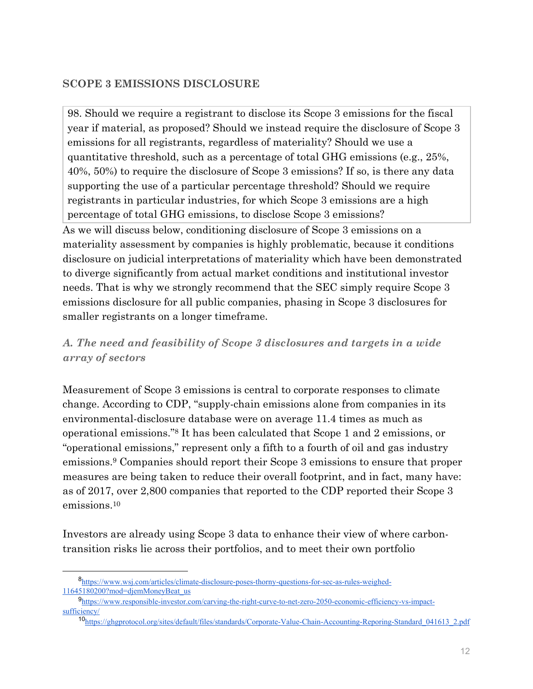### **SCOPE 3 EMISSIONS DISCLOSURE**

98. Should we require a registrant to disclose its Scope 3 emissions for the fiscal year if material, as proposed? Should we instead require the disclosure of Scope 3 emissions for all registrants, regardless of materiality? Should we use a quantitative threshold, such as a percentage of total GHG emissions (e.g., 25%, 40%, 50%) to require the disclosure of Scope 3 emissions? If so, is there any data supporting the use of a particular percentage threshold? Should we require registrants in particular industries, for which Scope 3 emissions are a high percentage of total GHG emissions, to disclose Scope 3 emissions? As we will discuss below, conditioning disclosure of Scope 3 emissions on a materiality assessment by companies is highly problematic, because it conditions disclosure on judicial interpretations of materiality which have been demonstrated to diverge significantly from actual market conditions and institutional investor needs. That is why we strongly recommend that the SEC simply require Scope 3 emissions disclosure for all public companies, phasing in Scope 3 disclosures for smaller registrants on a longer timeframe.

# *A. The need and feasibility of Scope 3 disclosures and targets in a wide array of sectors*

Measurement of Scope 3 emissions is central to corporate responses to climate change. According to CDP, "supply-chain emissions alone from companies in its environmental-disclosure database were on average 11.4 times as much as operational emissions."8 It has been calculated that Scope 1 and 2 emissions, or "operational emissions," represent only a fifth to a fourth of oil and gas industry emissions.9 Companies should report their Scope 3 emissions to ensure that proper measures are being taken to reduce their overall footprint, and in fact, many have: as of 2017, over 2,800 companies that reported to the CDP reported their Scope 3 emissions.10

Investors are already using Scope 3 data to enhance their view of where carbontransition risks lie across their portfolios, and to meet their own portfolio

 <sup>8</sup>https://www.wsj.com/articles/climate-disclosure-poses-thorny-questions-for-sec-as-rules-weighed-11645180200?mod=djemMoneyBeat\_us

<sup>9</sup>https://www.responsible-investor.com/carving-the-right-curve-to-net-zero-2050-economic-efficiency-vs-impactsufficiency/

<sup>10</sup>https://ghgprotocol.org/sites/default/files/standards/Corporate-Value-Chain-Accounting-Reporing-Standard\_041613\_2.pdf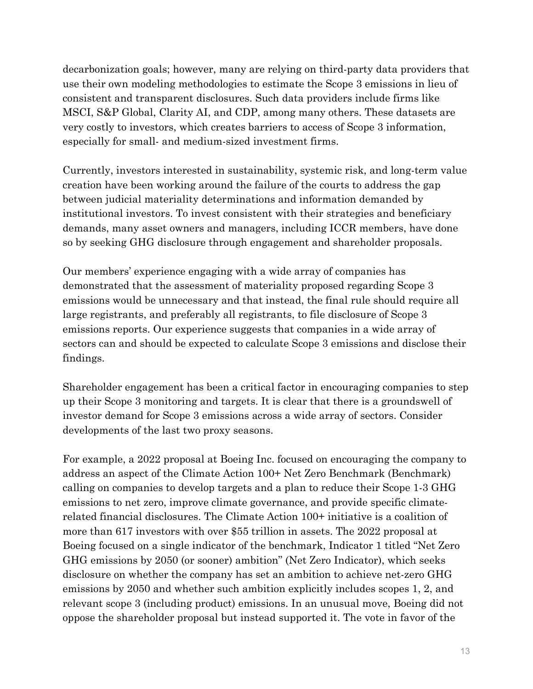decarbonization goals; however, many are relying on third-party data providers that use their own modeling methodologies to estimate the Scope 3 emissions in lieu of consistent and transparent disclosures. Such data providers include firms like MSCI, S&P Global, Clarity AI, and CDP, among many others. These datasets are very costly to investors, which creates barriers to access of Scope 3 information, especially for small- and medium-sized investment firms.

Currently, investors interested in sustainability, systemic risk, and long-term value creation have been working around the failure of the courts to address the gap between judicial materiality determinations and information demanded by institutional investors. To invest consistent with their strategies and beneficiary demands, many asset owners and managers, including ICCR members, have done so by seeking GHG disclosure through engagement and shareholder proposals.

Our members' experience engaging with a wide array of companies has demonstrated that the assessment of materiality proposed regarding Scope 3 emissions would be unnecessary and that instead, the final rule should require all large registrants, and preferably all registrants, to file disclosure of Scope 3 emissions reports. Our experience suggests that companies in a wide array of sectors can and should be expected to calculate Scope 3 emissions and disclose their findings.

Shareholder engagement has been a critical factor in encouraging companies to step up their Scope 3 monitoring and targets. It is clear that there is a groundswell of investor demand for Scope 3 emissions across a wide array of sectors. Consider developments of the last two proxy seasons.

For example, a 2022 proposal at Boeing Inc. focused on encouraging the company to address an aspect of the Climate Action 100+ Net Zero Benchmark (Benchmark) calling on companies to develop targets and a plan to reduce their Scope 1-3 GHG emissions to net zero, improve climate governance, and provide specific climaterelated financial disclosures. The Climate Action 100+ initiative is a coalition of more than 617 investors with over \$55 trillion in assets. The 2022 proposal at Boeing focused on a single indicator of the benchmark, Indicator 1 titled "Net Zero GHG emissions by 2050 (or sooner) ambition" (Net Zero Indicator), which seeks disclosure on whether the company has set an ambition to achieve net-zero GHG emissions by 2050 and whether such ambition explicitly includes scopes 1, 2, and relevant scope 3 (including product) emissions. In an unusual move, Boeing did not oppose the shareholder proposal but instead supported it. The vote in favor of the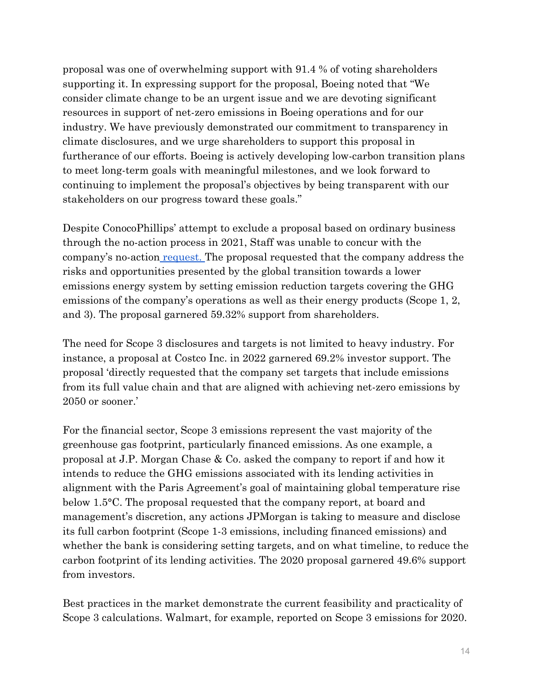proposal was one of overwhelming support with 91.4 % of voting shareholders supporting it. In expressing support for the proposal, Boeing noted that "We consider climate change to be an urgent issue and we are devoting significant resources in support of net-zero emissions in Boeing operations and for our industry. We have previously demonstrated our commitment to transparency in climate disclosures, and we urge shareholders to support this proposal in furtherance of our efforts. Boeing is actively developing low-carbon transition plans to meet long-term goals with meaningful milestones, and we look forward to continuing to implement the proposal's objectives by being transparent with our stakeholders on our progress toward these goals."

Despite ConocoPhillips' attempt to exclude a proposal based on ordinary business through the no-action process in 2021, Staff was unable to concur with the company's no-action request. The proposal requested that the company address the risks and opportunities presented by the global transition towards a lower emissions energy system by setting emission reduction targets covering the GHG emissions of the company's operations as well as their energy products (Scope 1, 2, and 3). The proposal garnered 59.32% support from shareholders.

The need for Scope 3 disclosures and targets is not limited to heavy industry. For instance, a proposal at Costco Inc. in 2022 garnered 69.2% investor support. The proposal 'directly requested that the company set targets that include emissions from its full value chain and that are aligned with achieving net-zero emissions by 2050 or sooner.'

For the financial sector, Scope 3 emissions represent the vast majority of the greenhouse gas footprint, particularly financed emissions. As one example, a proposal at J.P. Morgan Chase & Co. asked the company to report if and how it intends to reduce the GHG emissions associated with its lending activities in alignment with the Paris Agreement's goal of maintaining global temperature rise below 1.5°C. The proposal requested that the company report, at board and management's discretion, any actions JPMorgan is taking to measure and disclose its full carbon footprint (Scope 1-3 emissions, including financed emissions) and whether the bank is considering setting targets, and on what timeline, to reduce the carbon footprint of its lending activities. The 2020 proposal garnered 49.6% support from investors.

Best practices in the market demonstrate the current feasibility and practicality of Scope 3 calculations. Walmart, for example, reported on Scope 3 emissions for 2020.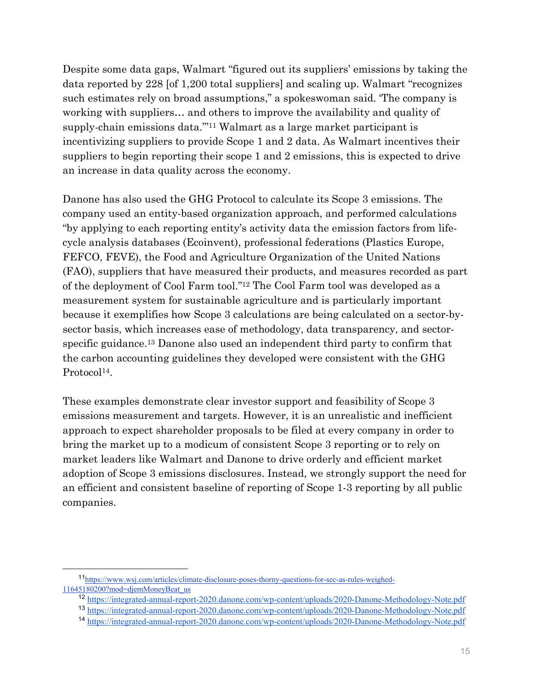Despite some data gaps, Walmart "figured out its suppliers' emissions by taking the data reported by 228 [of 1,200 total suppliers] and scaling up. Walmart "recognizes such estimates rely on broad assumptions," a spokeswoman said. 'The company is working with suppliers… and others to improve the availability and quality of supply-chain emissions data."'11 Walmart as a large market participant is incentivizing suppliers to provide Scope 1 and 2 data. As Walmart incentives their suppliers to begin reporting their scope 1 and 2 emissions, this is expected to drive an increase in data quality across the economy.

Danone has also used the GHG Protocol to calculate its Scope 3 emissions. The company used an entity-based organization approach, and performed calculations "by applying to each reporting entity's activity data the emission factors from lifecycle analysis databases (Ecoinvent), professional federations (Plastics Europe, FEFCO, FEVE), the Food and Agriculture Organization of the United Nations (FAO), suppliers that have measured their products, and measures recorded as part of the deployment of Cool Farm tool."12 The Cool Farm tool was developed as a measurement system for sustainable agriculture and is particularly important because it exemplifies how Scope 3 calculations are being calculated on a sector-bysector basis, which increases ease of methodology, data transparency, and sectorspecific guidance.13 Danone also used an independent third party to confirm that the carbon accounting guidelines they developed were consistent with the GHG Protocol<sup>14</sup>.

These examples demonstrate clear investor support and feasibility of Scope 3 emissions measurement and targets. However, it is an unrealistic and inefficient approach to expect shareholder proposals to be filed at every company in order to bring the market up to a modicum of consistent Scope 3 reporting or to rely on market leaders like Walmart and Danone to drive orderly and efficient market adoption of Scope 3 emissions disclosures. Instead, we strongly support the need for an efficient and consistent baseline of reporting of Scope 1-3 reporting by all public companies.

 <sup>11</sup>https://www.wsj.com/articles/climate-disclosure-poses-thorny-questions-for-sec-as-rules-weighed-11645180200?mod=djemMoneyBeat\_us

<sup>12</sup> https://integrated-annual-report-2020.danone.com/wp-content/uploads/2020-Danone-Methodology-Note.pdf

<sup>13</sup> https://integrated-annual-report-2020.danone.com/wp-content/uploads/2020-Danone-Methodology-Note.pdf

<sup>14</sup> https://integrated-annual-report-2020.danone.com/wp-content/uploads/2020-Danone-Methodology-Note.pdf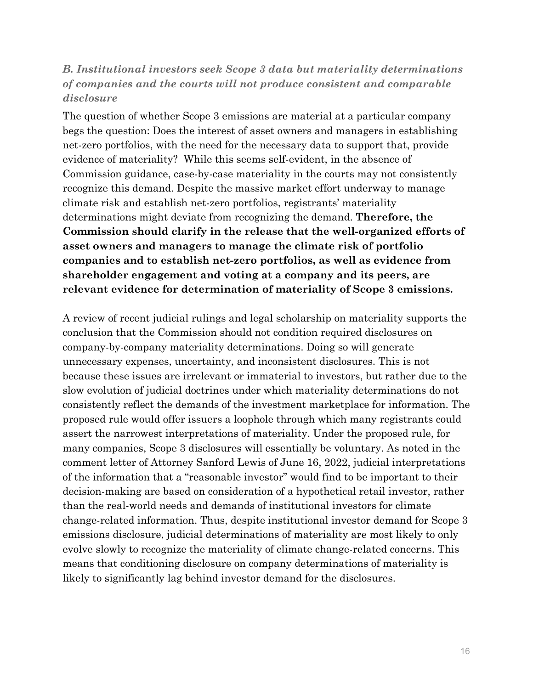# *B. Institutional investors seek Scope 3 data but materiality determinations of companies and the courts will not produce consistent and comparable disclosure*

The question of whether Scope 3 emissions are material at a particular company begs the question: Does the interest of asset owners and managers in establishing net-zero portfolios, with the need for the necessary data to support that, provide evidence of materiality? While this seems self-evident, in the absence of Commission guidance, case-by-case materiality in the courts may not consistently recognize this demand. Despite the massive market effort underway to manage climate risk and establish net-zero portfolios, registrants' materiality determinations might deviate from recognizing the demand. **Therefore, the Commission should clarify in the release that the well-organized efforts of asset owners and managers to manage the climate risk of portfolio companies and to establish net-zero portfolios, as well as evidence from shareholder engagement and voting at a company and its peers, are relevant evidence for determination of materiality of Scope 3 emissions.** 

A review of recent judicial rulings and legal scholarship on materiality supports the conclusion that the Commission should not condition required disclosures on company-by-company materiality determinations. Doing so will generate unnecessary expenses, uncertainty, and inconsistent disclosures. This is not because these issues are irrelevant or immaterial to investors, but rather due to the slow evolution of judicial doctrines under which materiality determinations do not consistently reflect the demands of the investment marketplace for information. The proposed rule would offer issuers a loophole through which many registrants could assert the narrowest interpretations of materiality. Under the proposed rule, for many companies, Scope 3 disclosures will essentially be voluntary. As noted in the comment letter of Attorney Sanford Lewis of June 16, 2022, judicial interpretations of the information that a "reasonable investor" would find to be important to their decision-making are based on consideration of a hypothetical retail investor, rather than the real-world needs and demands of institutional investors for climate change-related information. Thus, despite institutional investor demand for Scope 3 emissions disclosure, judicial determinations of materiality are most likely to only evolve slowly to recognize the materiality of climate change-related concerns. This means that conditioning disclosure on company determinations of materiality is likely to significantly lag behind investor demand for the disclosures.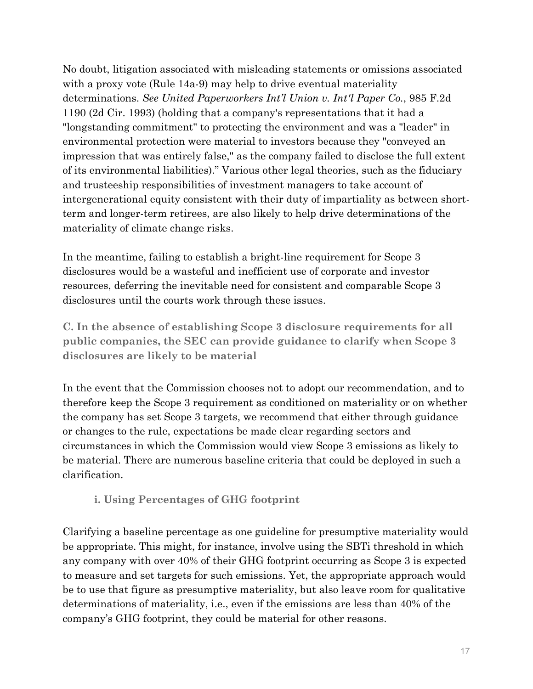No doubt, litigation associated with misleading statements or omissions associated with a proxy vote (Rule 14a-9) may help to drive eventual materiality determinations. *See United Paperworkers Int'l Union v. Int'l Paper Co.*, 985 F.2d 1190 (2d Cir. 1993) (holding that a company's representations that it had a "longstanding commitment" to protecting the environment and was a "leader" in environmental protection were material to investors because they "conveyed an impression that was entirely false," as the company failed to disclose the full extent of its environmental liabilities)." Various other legal theories, such as the fiduciary and trusteeship responsibilities of investment managers to take account of intergenerational equity consistent with their duty of impartiality as between shortterm and longer-term retirees, are also likely to help drive determinations of the materiality of climate change risks.

In the meantime, failing to establish a bright-line requirement for Scope 3 disclosures would be a wasteful and inefficient use of corporate and investor resources, deferring the inevitable need for consistent and comparable Scope 3 disclosures until the courts work through these issues.

**C. In the absence of establishing Scope 3 disclosure requirements for all public companies, the SEC can provide guidance to clarify when Scope 3 disclosures are likely to be material**

In the event that the Commission chooses not to adopt our recommendation, and to therefore keep the Scope 3 requirement as conditioned on materiality or on whether the company has set Scope 3 targets, we recommend that either through guidance or changes to the rule, expectations be made clear regarding sectors and circumstances in which the Commission would view Scope 3 emissions as likely to be material. There are numerous baseline criteria that could be deployed in such a clarification.

### **i. Using Percentages of GHG footprint**

Clarifying a baseline percentage as one guideline for presumptive materiality would be appropriate. This might, for instance, involve using the SBTi threshold in which any company with over 40% of their GHG footprint occurring as Scope 3 is expected to measure and set targets for such emissions. Yet, the appropriate approach would be to use that figure as presumptive materiality, but also leave room for qualitative determinations of materiality, i.e., even if the emissions are less than 40% of the company's GHG footprint, they could be material for other reasons.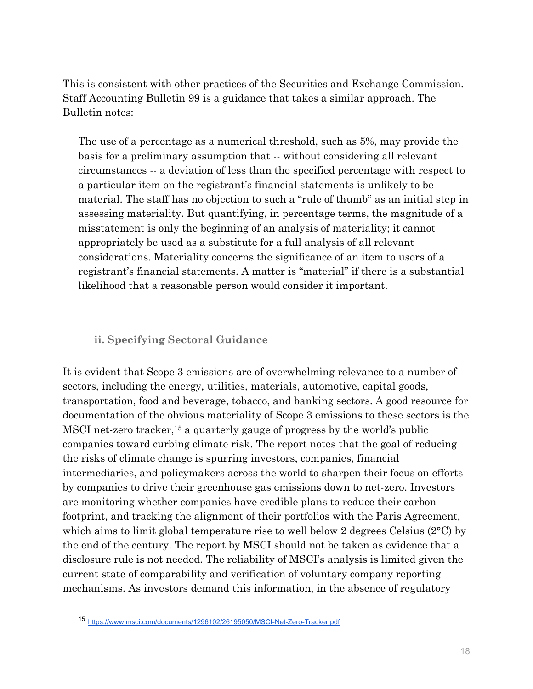This is consistent with other practices of the Securities and Exchange Commission. Staff Accounting Bulletin 99 is a guidance that takes a similar approach. The Bulletin notes:

The use of a percentage as a numerical threshold, such as 5%, may provide the basis for a preliminary assumption that -- without considering all relevant circumstances -- a deviation of less than the specified percentage with respect to a particular item on the registrant's financial statements is unlikely to be material. The staff has no objection to such a "rule of thumb" as an initial step in assessing materiality. But quantifying, in percentage terms, the magnitude of a misstatement is only the beginning of an analysis of materiality; it cannot appropriately be used as a substitute for a full analysis of all relevant considerations. Materiality concerns the significance of an item to users of a registrant's financial statements. A matter is "material" if there is a substantial likelihood that a reasonable person would consider it important.

### **ii. Specifying Sectoral Guidance**

It is evident that Scope 3 emissions are of overwhelming relevance to a number of sectors, including the energy, utilities, materials, automotive, capital goods, transportation, food and beverage, tobacco, and banking sectors. A good resource for documentation of the obvious materiality of Scope 3 emissions to these sectors is the MSCI net-zero tracker,15 a quarterly gauge of progress by the world's public companies toward curbing climate risk. The report notes that the goal of reducing the risks of climate change is spurring investors, companies, financial intermediaries, and policymakers across the world to sharpen their focus on efforts by companies to drive their greenhouse gas emissions down to net-zero. Investors are monitoring whether companies have credible plans to reduce their carbon footprint, and tracking the alignment of their portfolios with the Paris Agreement, which aims to limit global temperature rise to well below 2 degrees Celsius (2<sup>o</sup>C) by the end of the century. The report by MSCI should not be taken as evidence that a disclosure rule is not needed. The reliability of MSCI's analysis is limited given the current state of comparability and verification of voluntary company reporting mechanisms. As investors demand this information, in the absence of regulatory

 <sup>15</sup> https://www.msci.com/documents/1296102/26195050/MSCI-Net-Zero-Tracker.pdf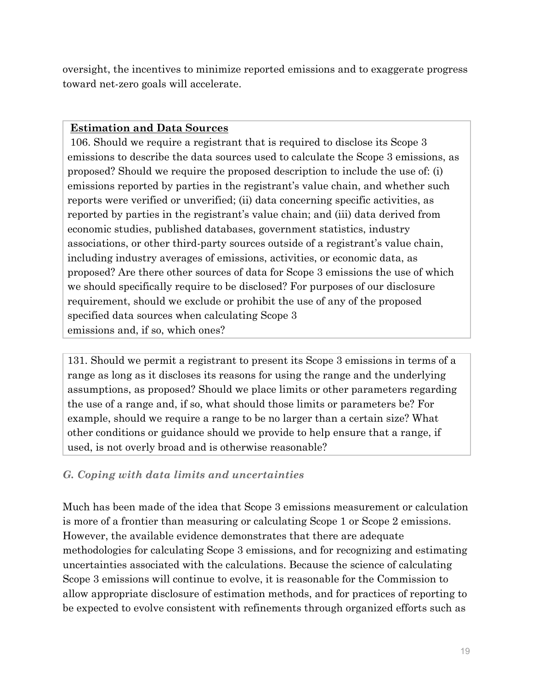oversight, the incentives to minimize reported emissions and to exaggerate progress toward net-zero goals will accelerate.

### **Estimation and Data Sources**

 106. Should we require a registrant that is required to disclose its Scope 3 emissions to describe the data sources used to calculate the Scope 3 emissions, as proposed? Should we require the proposed description to include the use of: (i) emissions reported by parties in the registrant's value chain, and whether such reports were verified or unverified; (ii) data concerning specific activities, as reported by parties in the registrant's value chain; and (iii) data derived from economic studies, published databases, government statistics, industry associations, or other third-party sources outside of a registrant's value chain, including industry averages of emissions, activities, or economic data, as proposed? Are there other sources of data for Scope 3 emissions the use of which we should specifically require to be disclosed? For purposes of our disclosure requirement, should we exclude or prohibit the use of any of the proposed specified data sources when calculating Scope 3 emissions and, if so, which ones?

131. Should we permit a registrant to present its Scope 3 emissions in terms of a range as long as it discloses its reasons for using the range and the underlying assumptions, as proposed? Should we place limits or other parameters regarding the use of a range and, if so, what should those limits or parameters be? For example, should we require a range to be no larger than a certain size? What other conditions or guidance should we provide to help ensure that a range, if used, is not overly broad and is otherwise reasonable?

# *G. Coping with data limits and uncertainties*

Much has been made of the idea that Scope 3 emissions measurement or calculation is more of a frontier than measuring or calculating Scope 1 or Scope 2 emissions. However, the available evidence demonstrates that there are adequate methodologies for calculating Scope 3 emissions, and for recognizing and estimating uncertainties associated with the calculations. Because the science of calculating Scope 3 emissions will continue to evolve, it is reasonable for the Commission to allow appropriate disclosure of estimation methods, and for practices of reporting to be expected to evolve consistent with refinements through organized efforts such as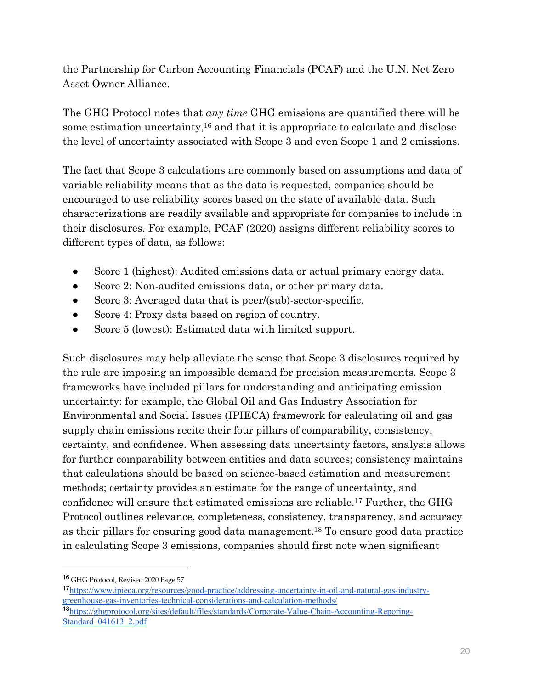the Partnership for Carbon Accounting Financials (PCAF) and the U.N. Net Zero Asset Owner Alliance.

The GHG Protocol notes that *any time* GHG emissions are quantified there will be some estimation uncertainty,16 and that it is appropriate to calculate and disclose the level of uncertainty associated with Scope 3 and even Scope 1 and 2 emissions.

The fact that Scope 3 calculations are commonly based on assumptions and data of variable reliability means that as the data is requested, companies should be encouraged to use reliability scores based on the state of available data. Such characterizations are readily available and appropriate for companies to include in their disclosures. For example, PCAF (2020) assigns different reliability scores to different types of data, as follows:

- Score 1 (highest): Audited emissions data or actual primary energy data.
- Score 2: Non-audited emissions data, or other primary data.
- Score 3: Averaged data that is peer/(sub)-sector-specific.
- Score 4: Proxy data based on region of country.
- Score 5 (lowest): Estimated data with limited support.

Such disclosures may help alleviate the sense that Scope 3 disclosures required by the rule are imposing an impossible demand for precision measurements. Scope 3 frameworks have included pillars for understanding and anticipating emission uncertainty: for example, the Global Oil and Gas Industry Association for Environmental and Social Issues (IPIECA) framework for calculating oil and gas supply chain emissions recite their four pillars of comparability, consistency, certainty, and confidence. When assessing data uncertainty factors, analysis allows for further comparability between entities and data sources; consistency maintains that calculations should be based on science-based estimation and measurement methods; certainty provides an estimate for the range of uncertainty, and confidence will ensure that estimated emissions are reliable.17 Further, the GHG Protocol outlines relevance, completeness, consistency, transparency, and accuracy as their pillars for ensuring good data management.18 To ensure good data practice in calculating Scope 3 emissions, companies should first note when significant

<sup>16</sup> GHG Protocol, Revised 2020 Page 57

<sup>17</sup>https://www.ipieca.org/resources/good-practice/addressing-uncertainty-in-oil-and-natural-gas-industrygreenhouse-gas-inventories-technical-considerations-and-calculation-methods/ <sup>18</sup>https://ghgprotocol.org/sites/default/files/standards/Corporate-Value-Chain-Accounting-Reporing-

Standard 041613 2.pdf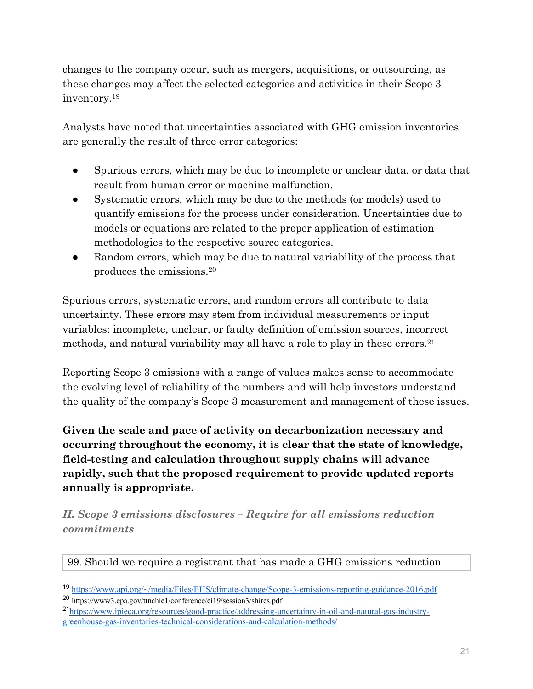changes to the company occur, such as mergers, acquisitions, or outsourcing, as these changes may affect the selected categories and activities in their Scope 3 inventory.19

Analysts have noted that uncertainties associated with GHG emission inventories are generally the result of three error categories:

- Spurious errors, which may be due to incomplete or unclear data, or data that result from human error or machine malfunction.
- Systematic errors, which may be due to the methods (or models) used to quantify emissions for the process under consideration. Uncertainties due to models or equations are related to the proper application of estimation methodologies to the respective source categories.
- Random errors, which may be due to natural variability of the process that produces the emissions.20

Spurious errors, systematic errors, and random errors all contribute to data uncertainty. These errors may stem from individual measurements or input variables: incomplete, unclear, or faulty definition of emission sources, incorrect methods, and natural variability may all have a role to play in these errors.21

Reporting Scope 3 emissions with a range of values makes sense to accommodate the evolving level of reliability of the numbers and will help investors understand the quality of the company's Scope 3 measurement and management of these issues.

**Given the scale and pace of activity on decarbonization necessary and occurring throughout the economy, it is clear that the state of knowledge, field-testing and calculation throughout supply chains will advance rapidly, such that the proposed requirement to provide updated reports annually is appropriate.** 

*H. Scope 3 emissions disclosures – Require for all emissions reduction commitments* 

# 99. Should we require a registrant that has made a GHG emissions reduction

<sup>19</sup> https://www.api.org/~/media/Files/EHS/climate-change/Scope-3-emissions-reporting-guidance-2016.pdf

<sup>20</sup> https://www3.epa.gov/ttnchie1/conference/ei19/session3/shires.pdf

<sup>21</sup>https://www.ipieca.org/resources/good-practice/addressing-uncertainty-in-oil-and-natural-gas-industrygreenhouse-gas-inventories-technical-considerations-and-calculation-methods/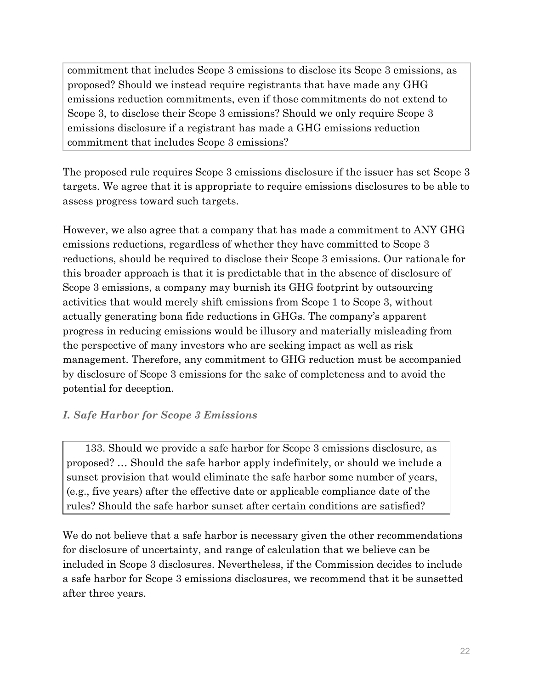commitment that includes Scope 3 emissions to disclose its Scope 3 emissions, as proposed? Should we instead require registrants that have made any GHG emissions reduction commitments, even if those commitments do not extend to Scope 3, to disclose their Scope 3 emissions? Should we only require Scope 3 emissions disclosure if a registrant has made a GHG emissions reduction commitment that includes Scope 3 emissions?

The proposed rule requires Scope 3 emissions disclosure if the issuer has set Scope 3 targets. We agree that it is appropriate to require emissions disclosures to be able to assess progress toward such targets.

However, we also agree that a company that has made a commitment to ANY GHG emissions reductions, regardless of whether they have committed to Scope 3 reductions, should be required to disclose their Scope 3 emissions. Our rationale for this broader approach is that it is predictable that in the absence of disclosure of Scope 3 emissions, a company may burnish its GHG footprint by outsourcing activities that would merely shift emissions from Scope 1 to Scope 3, without actually generating bona fide reductions in GHGs. The company's apparent progress in reducing emissions would be illusory and materially misleading from the perspective of many investors who are seeking impact as well as risk management. Therefore, any commitment to GHG reduction must be accompanied by disclosure of Scope 3 emissions for the sake of completeness and to avoid the potential for deception.

# *I. Safe Harbor for Scope 3 Emissions*

 133. Should we provide a safe harbor for Scope 3 emissions disclosure, as proposed? … Should the safe harbor apply indefinitely, or should we include a sunset provision that would eliminate the safe harbor some number of years, (e.g., five years) after the effective date or applicable compliance date of the rules? Should the safe harbor sunset after certain conditions are satisfied?

We do not believe that a safe harbor is necessary given the other recommendations for disclosure of uncertainty, and range of calculation that we believe can be included in Scope 3 disclosures. Nevertheless, if the Commission decides to include a safe harbor for Scope 3 emissions disclosures, we recommend that it be sunsetted after three years.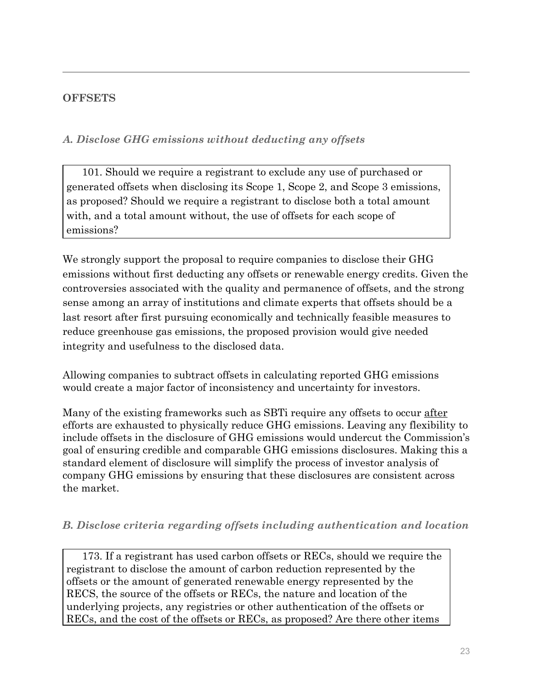### **OFFSETS**

### *A. Disclose GHG emissions without deducting any offsets*

101. Should we require a registrant to exclude any use of purchased or generated offsets when disclosing its Scope 1, Scope 2, and Scope 3 emissions, as proposed? Should we require a registrant to disclose both a total amount with, and a total amount without, the use of offsets for each scope of emissions?

We strongly support the proposal to require companies to disclose their GHG emissions without first deducting any offsets or renewable energy credits. Given the controversies associated with the quality and permanence of offsets, and the strong sense among an array of institutions and climate experts that offsets should be a last resort after first pursuing economically and technically feasible measures to reduce greenhouse gas emissions, the proposed provision would give needed integrity and usefulness to the disclosed data.

Allowing companies to subtract offsets in calculating reported GHG emissions would create a major factor of inconsistency and uncertainty for investors.

Many of the existing frameworks such as SBTi require any offsets to occur after efforts are exhausted to physically reduce GHG emissions. Leaving any flexibility to include offsets in the disclosure of GHG emissions would undercut the Commission's goal of ensuring credible and comparable GHG emissions disclosures. Making this a standard element of disclosure will simplify the process of investor analysis of company GHG emissions by ensuring that these disclosures are consistent across the market.

### *B. Disclose criteria regarding offsets including authentication and location*

173. If a registrant has used carbon offsets or RECs, should we require the registrant to disclose the amount of carbon reduction represented by the offsets or the amount of generated renewable energy represented by the RECS, the source of the offsets or RECs, the nature and location of the underlying projects, any registries or other authentication of the offsets or RECs, and the cost of the offsets or RECs, as proposed? Are there other items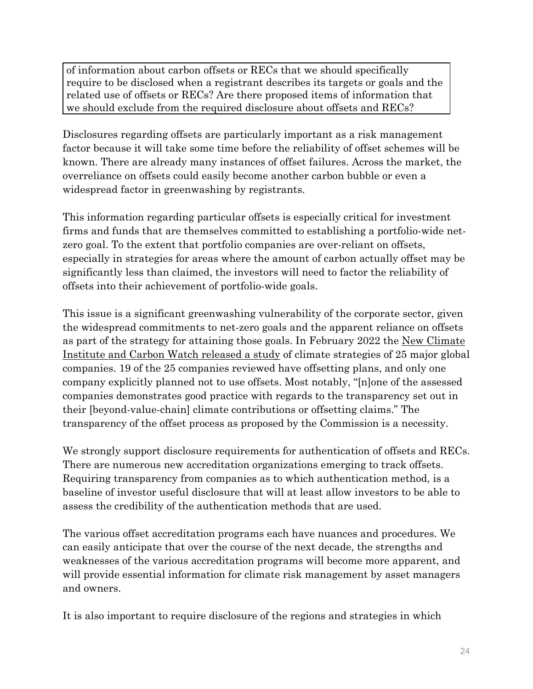of information about carbon offsets or RECs that we should specifically require to be disclosed when a registrant describes its targets or goals and the related use of offsets or RECs? Are there proposed items of information that we should exclude from the required disclosure about offsets and RECs?

Disclosures regarding offsets are particularly important as a risk management factor because it will take some time before the reliability of offset schemes will be known. There are already many instances of offset failures. Across the market, the overreliance on offsets could easily become another carbon bubble or even a widespread factor in greenwashing by registrants.

This information regarding particular offsets is especially critical for investment firms and funds that are themselves committed to establishing a portfolio-wide netzero goal. To the extent that portfolio companies are over-reliant on offsets, especially in strategies for areas where the amount of carbon actually offset may be significantly less than claimed, the investors will need to factor the reliability of offsets into their achievement of portfolio-wide goals.

This issue is a significant greenwashing vulnerability of the corporate sector, given the widespread commitments to net-zero goals and the apparent reliance on offsets as part of the strategy for attaining those goals. In February 2022 the New Climate Institute and Carbon Watch released a study of climate strategies of 25 major global companies. 19 of the 25 companies reviewed have offsetting plans, and only one company explicitly planned not to use offsets. Most notably, "[n]one of the assessed companies demonstrates good practice with regards to the transparency set out in their [beyond-value-chain] climate contributions or offsetting claims." The transparency of the offset process as proposed by the Commission is a necessity.

We strongly support disclosure requirements for authentication of offsets and RECs. There are numerous new accreditation organizations emerging to track offsets. Requiring transparency from companies as to which authentication method, is a baseline of investor useful disclosure that will at least allow investors to be able to assess the credibility of the authentication methods that are used.

The various offset accreditation programs each have nuances and procedures. We can easily anticipate that over the course of the next decade, the strengths and weaknesses of the various accreditation programs will become more apparent, and will provide essential information for climate risk management by asset managers and owners.

It is also important to require disclosure of the regions and strategies in which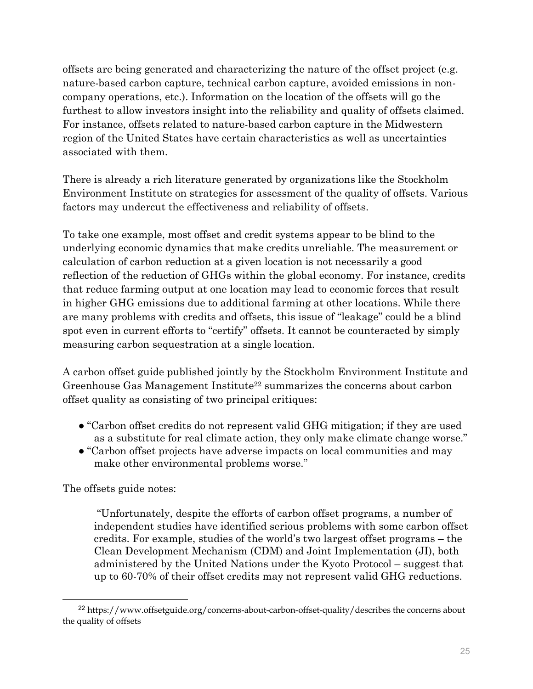offsets are being generated and characterizing the nature of the offset project (e.g. nature-based carbon capture, technical carbon capture, avoided emissions in noncompany operations, etc.). Information on the location of the offsets will go the furthest to allow investors insight into the reliability and quality of offsets claimed. For instance, offsets related to nature-based carbon capture in the Midwestern region of the United States have certain characteristics as well as uncertainties associated with them.

There is already a rich literature generated by organizations like the Stockholm Environment Institute on strategies for assessment of the quality of offsets. Various factors may undercut the effectiveness and reliability of offsets.

To take one example, most offset and credit systems appear to be blind to the underlying economic dynamics that make credits unreliable. The measurement or calculation of carbon reduction at a given location is not necessarily a good reflection of the reduction of GHGs within the global economy. For instance, credits that reduce farming output at one location may lead to economic forces that result in higher GHG emissions due to additional farming at other locations. While there are many problems with credits and offsets, this issue of "leakage" could be a blind spot even in current efforts to "certify" offsets. It cannot be counteracted by simply measuring carbon sequestration at a single location.

A carbon offset guide published jointly by the Stockholm Environment Institute and Greenhouse Gas Management Institute<sup>22</sup> summarizes the concerns about carbon offset quality as consisting of two principal critiques:

- "Carbon offset credits do not represent valid GHG mitigation; if they are used as a substitute for real climate action, they only make climate change worse."
- "Carbon offset projects have adverse impacts on local communities and may make other environmental problems worse."

The offsets guide notes:

 "Unfortunately, despite the efforts of carbon offset programs, a number of independent studies have identified serious problems with some carbon offset credits. For example, studies of the world's two largest offset programs – the Clean Development Mechanism (CDM) and Joint Implementation (JI), both administered by the United Nations under the Kyoto Protocol – suggest that up to 60-70% of their offset credits may not represent valid GHG reductions.

<sup>&</sup>lt;sup>22</sup> https://www.offsetguide.org/concerns-about-carbon-offset-quality/describes the concerns about the quality of offsets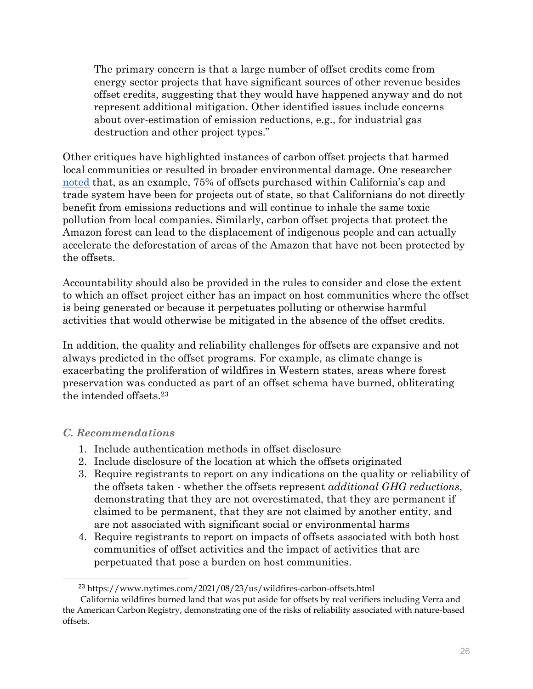The primary concern is that a large number of offset credits come from energy sector projects that have significant sources of other revenue besides offset credits, suggesting that they would have happened anyway and do not represent additional mitigation. Other identified issues include concerns about over-estimation of emission reductions, e.g., for industrial gas destruction and other project types."

Other critiques have highlighted instances of carbon offset projects that harmed local communities or resulted in broader environmental damage. One researcher noted that, as an example, 75% of offsets purchased within California's cap and trade system have been for projects out of state, so that Californians do not directly benefit from emissions reductions and will continue to inhale the same toxic pollution from local companies. Similarly, carbon offset projects that protect the Amazon forest can lead to the displacement of indigenous people and can actually accelerate the deforestation of areas of the Amazon that have not been protected by the offsets.

Accountability should also be provided in the rules to consider and close the extent to which an offset project either has an impact on host communities where the offset is being generated or because it perpetuates polluting or otherwise harmful activities that would otherwise be mitigated in the absence of the offset credits.

In addition, the quality and reliability challenges for offsets are expansive and not always predicted in the offset programs. For example, as climate change is exacerbating the proliferation of wildfires in Western states, areas where forest preservation was conducted as part of an offset schema have burned, obliterating the intended offsets.23

### *C. Recommendations*

- 1. Include authentication methods in offset disclosure
- 2. Include disclosure of the location at which the offsets originated
- 3. Require registrants to report on any indications on the quality or reliability of the offsets taken - whether the offsets represent *additional GHG reductions*, demonstrating that they are not overestimated, that they are permanent if claimed to be permanent, that they are not claimed by another entity, and are not associated with significant social or environmental harms
- 4. Require registrants to report on impacts of offsets associated with both host communities of offset activities and the impact of activities that are perpetuated that pose a burden on host communities.

 <sup>23</sup> https://www.nytimes.com/2021/08/23/us/wildfires-carbon-offsets.html

California wildfires burned land that was put aside for offsets by real verifiers including Verra and the American Carbon Registry, demonstrating one of the risks of reliability associated with nature-based offsets.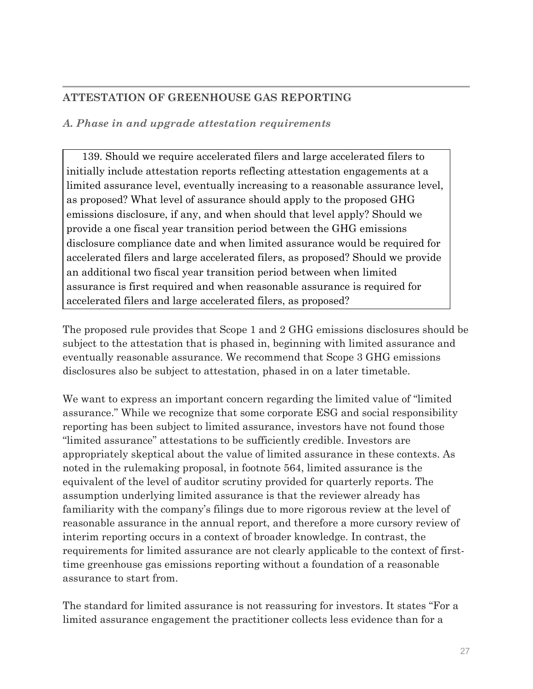# **ATTESTATION OF GREENHOUSE GAS REPORTING**

### *A. Phase in and upgrade attestation requirements*

139. Should we require accelerated filers and large accelerated filers to initially include attestation reports reflecting attestation engagements at a limited assurance level, eventually increasing to a reasonable assurance level, as proposed? What level of assurance should apply to the proposed GHG emissions disclosure, if any, and when should that level apply? Should we provide a one fiscal year transition period between the GHG emissions disclosure compliance date and when limited assurance would be required for accelerated filers and large accelerated filers, as proposed? Should we provide an additional two fiscal year transition period between when limited assurance is first required and when reasonable assurance is required for accelerated filers and large accelerated filers, as proposed?

The proposed rule provides that Scope 1 and 2 GHG emissions disclosures should be subject to the attestation that is phased in, beginning with limited assurance and eventually reasonable assurance. We recommend that Scope 3 GHG emissions disclosures also be subject to attestation, phased in on a later timetable.

We want to express an important concern regarding the limited value of "limited assurance." While we recognize that some corporate ESG and social responsibility reporting has been subject to limited assurance, investors have not found those "limited assurance" attestations to be sufficiently credible. Investors are appropriately skeptical about the value of limited assurance in these contexts. As noted in the rulemaking proposal, in footnote 564, limited assurance is the equivalent of the level of auditor scrutiny provided for quarterly reports. The assumption underlying limited assurance is that the reviewer already has familiarity with the company's filings due to more rigorous review at the level of reasonable assurance in the annual report, and therefore a more cursory review of interim reporting occurs in a context of broader knowledge. In contrast, the requirements for limited assurance are not clearly applicable to the context of firsttime greenhouse gas emissions reporting without a foundation of a reasonable assurance to start from.

The standard for limited assurance is not reassuring for investors. It states "For a limited assurance engagement the practitioner collects less evidence than for a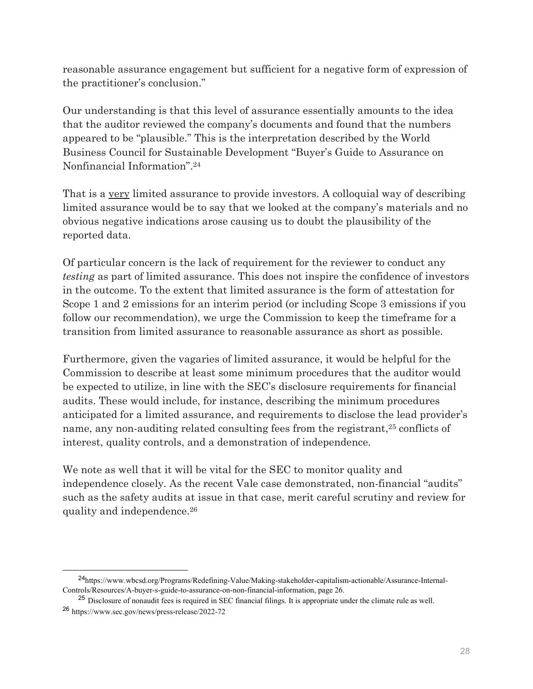reasonable assurance engagement but sufficient for a negative form of expression of the practitioner's conclusion."

Our understanding is that this level of assurance essentially amounts to the idea that the auditor reviewed the company's documents and found that the numbers appeared to be "plausible." This is the interpretation described by the World Business Council for Sustainable Development "Buyer's Guide to Assurance on Nonfinancial Information".24

That is a very limited assurance to provide investors. A colloquial way of describing limited assurance would be to say that we looked at the company's materials and no obvious negative indications arose causing us to doubt the plausibility of the reported data.

Of particular concern is the lack of requirement for the reviewer to conduct any *testing* as part of limited assurance. This does not inspire the confidence of investors in the outcome. To the extent that limited assurance is the form of attestation for Scope 1 and 2 emissions for an interim period (or including Scope 3 emissions if you follow our recommendation), we urge the Commission to keep the timeframe for a transition from limited assurance to reasonable assurance as short as possible.

Furthermore, given the vagaries of limited assurance, it would be helpful for the Commission to describe at least some minimum procedures that the auditor would be expected to utilize, in line with the SEC's disclosure requirements for financial audits. These would include, for instance, describing the minimum procedures anticipated for a limited assurance, and requirements to disclose the lead provider's name, any non-auditing related consulting fees from the registrant,<sup>25</sup> conflicts of interest, quality controls, and a demonstration of independence.

We note as well that it will be vital for the SEC to monitor quality and independence closely. As the recent Vale case demonstrated, non-financial "audits" such as the safety audits at issue in that case, merit careful scrutiny and review for quality and independence.26

 <sup>24</sup>https://www.wbcsd.org/Programs/Redefining-Value/Making-stakeholder-capitalism-actionable/Assurance-Internal-Controls/Resources/A-buyer-s-guide-to-assurance-on-non-financial-information, page 26.

<sup>&</sup>lt;sup>25</sup> Disclosure of nonaudit fees is required in SEC financial filings. It is appropriate under the climate rule as well. <sup>26</sup> https://www.sec.gov/news/press-release/2022-72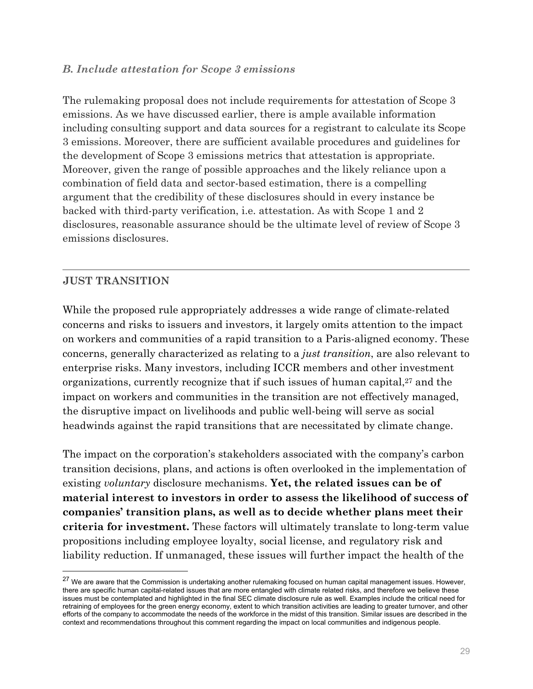#### *B. Include attestation for Scope 3 emissions*

The rulemaking proposal does not include requirements for attestation of Scope 3 emissions. As we have discussed earlier, there is ample available information including consulting support and data sources for a registrant to calculate its Scope 3 emissions. Moreover, there are sufficient available procedures and guidelines for the development of Scope 3 emissions metrics that attestation is appropriate. Moreover, given the range of possible approaches and the likely reliance upon a combination of field data and sector-based estimation, there is a compelling argument that the credibility of these disclosures should in every instance be backed with third-party verification, i.e. attestation. As with Scope 1 and 2 disclosures, reasonable assurance should be the ultimate level of review of Scope 3 emissions disclosures.

#### **JUST TRANSITION**

While the proposed rule appropriately addresses a wide range of climate-related concerns and risks to issuers and investors, it largely omits attention to the impact on workers and communities of a rapid transition to a Paris-aligned economy. These concerns, generally characterized as relating to a *just transition*, are also relevant to enterprise risks. Many investors, including ICCR members and other investment organizations, currently recognize that if such issues of human capital,<sup>27</sup> and the impact on workers and communities in the transition are not effectively managed, the disruptive impact on livelihoods and public well-being will serve as social headwinds against the rapid transitions that are necessitated by climate change.

The impact on the corporation's stakeholders associated with the company's carbon transition decisions, plans, and actions is often overlooked in the implementation of existing *voluntary* disclosure mechanisms. **Yet, the related issues can be of material interest to investors in order to assess the likelihood of success of companies' transition plans, as well as to decide whether plans meet their criteria for investment.** These factors will ultimately translate to long-term value propositions including employee loyalty, social license, and regulatory risk and liability reduction. If unmanaged, these issues will further impact the health of the

 $27$  We are aware that the Commission is undertaking another rulemaking focused on human capital management issues. However, there are specific human capital-related issues that are more entangled with climate related risks, and therefore we believe these issues must be contemplated and highlighted in the final SEC climate disclosure rule as well. Examples include the critical need for retraining of employees for the green energy economy, extent to which transition activities are leading to greater turnover, and other efforts of the company to accommodate the needs of the workforce in the midst of this transition. Similar issues are described in the context and recommendations throughout this comment regarding the impact on local communities and indigenous people.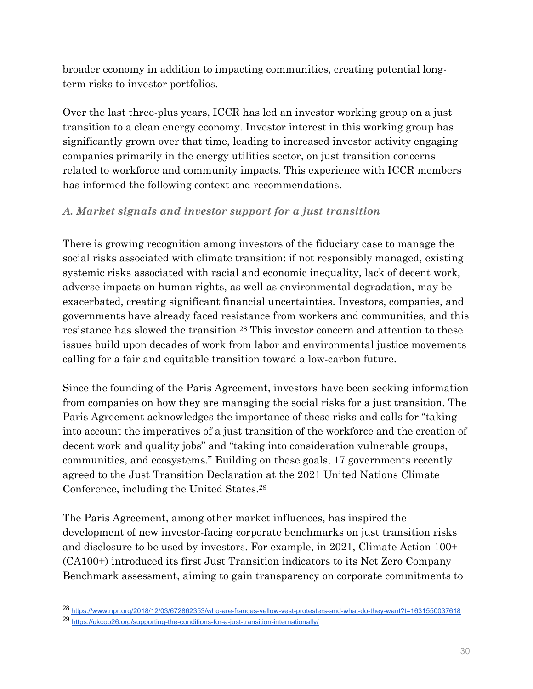broader economy in addition to impacting communities, creating potential longterm risks to investor portfolios.

Over the last three-plus years, ICCR has led an investor working group on a just transition to a clean energy economy. Investor interest in this working group has significantly grown over that time, leading to increased investor activity engaging companies primarily in the energy utilities sector, on just transition concerns related to workforce and community impacts. This experience with ICCR members has informed the following context and recommendations.

### *A. Market signals and investor support for a just transition*

There is growing recognition among investors of the fiduciary case to manage the social risks associated with climate transition: if not responsibly managed, existing systemic risks associated with racial and economic inequality, lack of decent work, adverse impacts on human rights, as well as environmental degradation, may be exacerbated, creating significant financial uncertainties. Investors, companies, and governments have already faced resistance from workers and communities, and this resistance has slowed the transition.28 This investor concern and attention to these issues build upon decades of work from labor and environmental justice movements calling for a fair and equitable transition toward a low-carbon future.

Since the founding of the Paris Agreement, investors have been seeking information from companies on how they are managing the social risks for a just transition. The Paris Agreement acknowledges the importance of these risks and calls for "taking into account the imperatives of a just transition of the workforce and the creation of decent work and quality jobs" and "taking into consideration vulnerable groups, communities, and ecosystems." Building on these goals, 17 governments recently agreed to the Just Transition Declaration at the 2021 United Nations Climate Conference, including the United States.29

The Paris Agreement, among other market influences, has inspired the development of new investor-facing corporate benchmarks on just transition risks and disclosure to be used by investors. For example, in 2021, Climate Action 100+ (CA100+) introduced its first Just Transition indicators to its Net Zero Company Benchmark assessment, aiming to gain transparency on corporate commitments to

<sup>28</sup> https://www.npr.org/2018/12/03/672862353/who-are-frances-yellow-vest-protesters-and-what-do-they-want?t=1631550037618

<sup>29</sup> https://ukcop26.org/supporting-the-conditions-for-a-just-transition-internationally/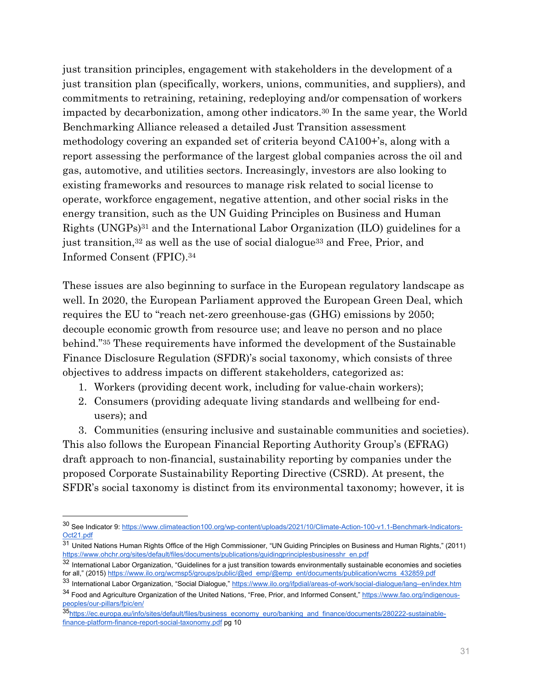just transition principles, engagement with stakeholders in the development of a just transition plan (specifically, workers, unions, communities, and suppliers), and commitments to retraining, retaining, redeploying and/or compensation of workers impacted by decarbonization, among other indicators.30 In the same year, the World Benchmarking Alliance released a detailed Just Transition assessment methodology covering an expanded set of criteria beyond CA100+'s, along with a report assessing the performance of the largest global companies across the oil and gas, automotive, and utilities sectors. Increasingly, investors are also looking to existing frameworks and resources to manage risk related to social license to operate, workforce engagement, negative attention, and other social risks in the energy transition, such as the UN Guiding Principles on Business and Human Rights (UNGPs)31 and the International Labor Organization (ILO) guidelines for a just transition,<sup>32</sup> as well as the use of social dialogue<sup>33</sup> and Free, Prior, and Informed Consent (FPIC).34

These issues are also beginning to surface in the European regulatory landscape as well. In 2020, the European Parliament approved the European Green Deal, which requires the EU to "reach net-zero greenhouse-gas (GHG) emissions by 2050; decouple economic growth from resource use; and leave no person and no place behind."35 These requirements have informed the development of the Sustainable Finance Disclosure Regulation (SFDR)'s social taxonomy, which consists of three objectives to address impacts on different stakeholders, categorized as:

- 1. Workers (providing decent work, including for value-chain workers);
- 2. Consumers (providing adequate living standards and wellbeing for endusers); and

3. Communities (ensuring inclusive and sustainable communities and societies). This also follows the European Financial Reporting Authority Group's (EFRAG) draft approach to non-financial, sustainability reporting by companies under the proposed Corporate Sustainability Reporting Directive (CSRD). At present, the SFDR's social taxonomy is distinct from its environmental taxonomy; however, it is

<sup>30</sup> See Indicator 9: https://www.climateaction100.org/wp-content/uploads/2021/10/Climate-Action-100-v1.1-Benchmark-Indicators-Oct21.pdf

<sup>31</sup> United Nations Human Rights Office of the High Commissioner, "UN Guiding Principles on Business and Human Rights," (2011) https://www.ohchr.org/sites/default/files/documents/publications/guidingprinciplesbusinesshr\_en.pdf

 $32$  International Labor Organization, "Guidelines for a just transition towards environmentally sustainable economies and societies for all," (2015) https://www.ilo.org/wcmsp5/groups/public/@ed\_emp/@emp\_ent/documents/publication/wcms\_432859.pdf

<sup>33</sup> International Labor Organization, "Social Dialogue," https://www.ilo.org/ifpdial/areas-of-work/social-dialogue/lang--en/index.htm 34 Food and Agriculture Organization of the United Nations, "Free, Prior, and Informed Consent," https://www.fao.org/indigenous-

peoples/our-pillars/fpic/en/ 35https://ec.europa.eu/info/sites/default/files/business\_economy\_euro/banking\_and\_finance/documents/280222-sustainablefinance-platform-finance-report-social-taxonomy.pdf pg 10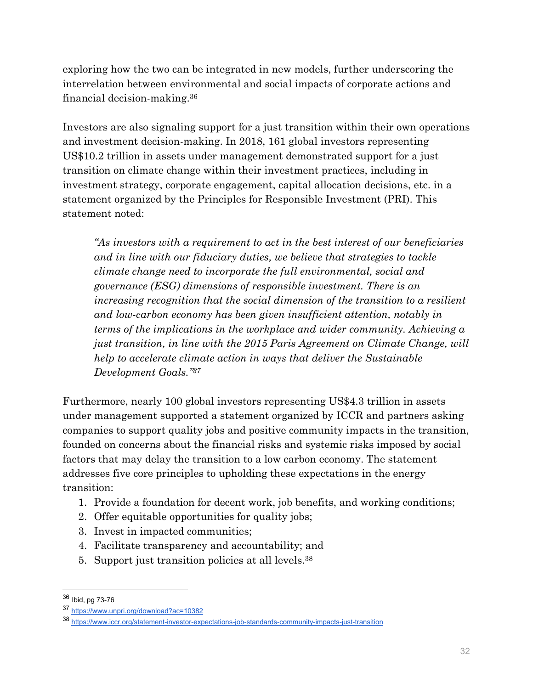exploring how the two can be integrated in new models, further underscoring the interrelation between environmental and social impacts of corporate actions and financial decision-making.36

Investors are also signaling support for a just transition within their own operations and investment decision-making. In 2018, 161 global investors representing US\$10.2 trillion in assets under management demonstrated support for a just transition on climate change within their investment practices, including in investment strategy, corporate engagement, capital allocation decisions, etc. in a statement organized by the Principles for Responsible Investment (PRI). This statement noted:

*"As investors with a requirement to act in the best interest of our beneficiaries and in line with our fiduciary duties, we believe that strategies to tackle climate change need to incorporate the full environmental, social and governance (ESG) dimensions of responsible investment. There is an increasing recognition that the social dimension of the transition to a resilient and low-carbon economy has been given insufficient attention, notably in terms of the implications in the workplace and wider community. Achieving a just transition, in line with the 2015 Paris Agreement on Climate Change, will help to accelerate climate action in ways that deliver the Sustainable Development Goals."37*

Furthermore, nearly 100 global investors representing US\$4.3 trillion in assets under management supported a statement organized by ICCR and partners asking companies to support quality jobs and positive community impacts in the transition, founded on concerns about the financial risks and systemic risks imposed by social factors that may delay the transition to a low carbon economy. The statement addresses five core principles to upholding these expectations in the energy transition:

- 1. Provide a foundation for decent work, job benefits, and working conditions;
- 2. Offer equitable opportunities for quality jobs;
- 3. Invest in impacted communities;
- 4. Facilitate transparency and accountability; and
- 5. Support just transition policies at all levels.38

 $\overline{a}$ 

<sup>36</sup> Ibid, pg 73-76

<sup>37</sup> https://www.unpri.org/download?ac=10382

<sup>38</sup> https://www.iccr.org/statement-investor-expectations-job-standards-community-impacts-just-transition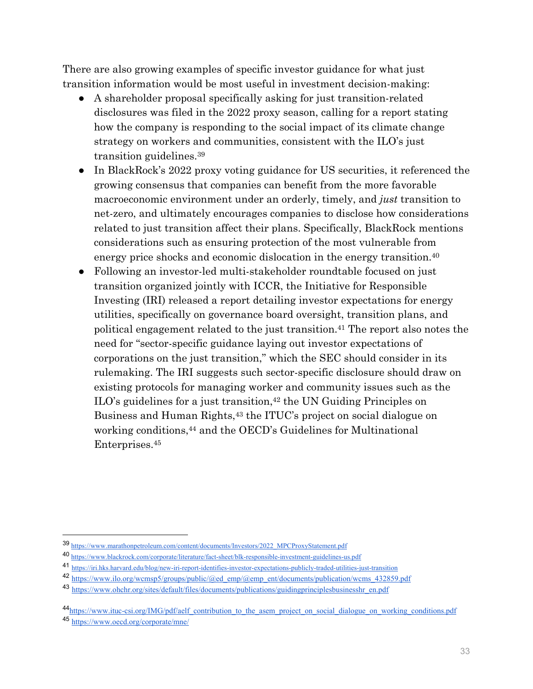There are also growing examples of specific investor guidance for what just transition information would be most useful in investment decision-making:

- A shareholder proposal specifically asking for just transition-related disclosures was filed in the 2022 proxy season, calling for a report stating how the company is responding to the social impact of its climate change strategy on workers and communities, consistent with the ILO's just transition guidelines.39
- In BlackRock's 2022 proxy voting guidance for US securities, it referenced the growing consensus that companies can benefit from the more favorable macroeconomic environment under an orderly, timely, and *just* transition to net-zero, and ultimately encourages companies to disclose how considerations related to just transition affect their plans. Specifically, BlackRock mentions considerations such as ensuring protection of the most vulnerable from energy price shocks and economic dislocation in the energy transition.40
- Following an investor-led multi-stakeholder roundtable focused on just transition organized jointly with ICCR, the Initiative for Responsible Investing (IRI) released a report detailing investor expectations for energy utilities, specifically on governance board oversight, transition plans, and political engagement related to the just transition.41 The report also notes the need for "sector-specific guidance laying out investor expectations of corporations on the just transition," which the SEC should consider in its rulemaking. The IRI suggests such sector-specific disclosure should draw on existing protocols for managing worker and community issues such as the ILO's guidelines for a just transition,<sup>42</sup> the UN Guiding Principles on Business and Human Rights,<sup>43</sup> the ITUC's project on social dialogue on working conditions,44 and the OECD's Guidelines for Multinational Enterprises.45

<sup>39</sup> https://www.marathonpetroleum.com/content/documents/Investors/2022\_MPCProxyStatement.pdf

<sup>40</sup> https://www.blackrock.com/corporate/literature/fact-sheet/blk-responsible-investment-guidelines-us.pdf

<sup>41</sup> https://iri.hks.harvard.edu/blog/new-iri-report-identifies-investor-expectations-publicly-traded-utilities-just-transition

<sup>42</sup> https://www.ilo.org/wcmsp5/groups/public/@ed\_emp/@emp\_ent/documents/publication/wcms\_432859.pdf

<sup>43</sup> https://www.ohchr.org/sites/default/files/documents/publications/guidingprinciplesbusinesshr\_en.pdf

<sup>44</sup>https://www.ituc-csi.org/IMG/pdf/aelf\_contribution\_to\_the\_asem\_project\_on\_social\_dialogue\_on\_working\_conditions.pdf

<sup>45</sup> https://www.oecd.org/corporate/mne/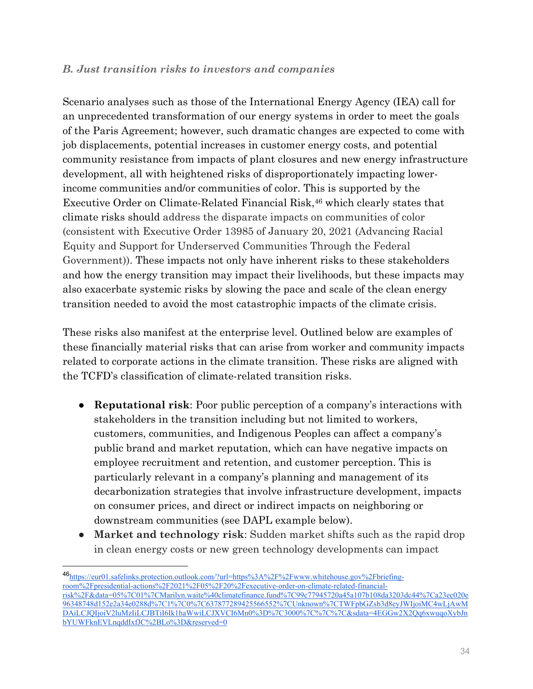### *B. Just transition risks to investors and companies*

Scenario analyses such as those of the International Energy Agency (IEA) call for an unprecedented transformation of our energy systems in order to meet the goals of the Paris Agreement; however, such dramatic changes are expected to come with job displacements, potential increases in customer energy costs, and potential community resistance from impacts of plant closures and new energy infrastructure development, all with heightened risks of disproportionately impacting lowerincome communities and/or communities of color. This is supported by the Executive Order on Climate-Related Financial Risk,<sup>46</sup> which clearly states that climate risks should address the disparate impacts on communities of color (consistent with Executive Order 13985 of January 20, 2021 (Advancing Racial Equity and Support for Underserved Communities Through the Federal Government)). These impacts not only have inherent risks to these stakeholders and how the energy transition may impact their livelihoods, but these impacts may also exacerbate systemic risks by slowing the pace and scale of the clean energy transition needed to avoid the most catastrophic impacts of the climate crisis.

These risks also manifest at the enterprise level. Outlined below are examples of these financially material risks that can arise from worker and community impacts related to corporate actions in the climate transition. These risks are aligned with the TCFD's classification of climate-related transition risks.

- **Reputational risk**: Poor public perception of a company's interactions with stakeholders in the transition including but not limited to workers, customers, communities, and Indigenous Peoples can affect a company's public brand and market reputation, which can have negative impacts on employee recruitment and retention, and customer perception. This is particularly relevant in a company's planning and management of its decarbonization strategies that involve infrastructure development, impacts on consumer prices, and direct or indirect impacts on neighboring or downstream communities (see DAPL example below).
- **Market and technology risk**: Sudden market shifts such as the rapid drop in clean energy costs or new green technology developments can impact

<sup>46</sup>https://eur01.safelinks.protection.outlook.com/?url=https%3A%2F%2Fwww.whitehouse.gov%2Fbriefingroom%2Fpresidential-actions%2F2021%2F05%2F20%2Fexecutive-order-on-climate-related-financialrisk%2F&data=05%7C01%7CMarilyn.waite%40climatefinance.fund%7C99c77945720a45a107b108da3203dc44%7Ca23ec020e 96348748d152e2a34e0288d%7C1%7C0%7C637877289425566552%7CUnknown%7CTWFpbGZsb3d8eyJWIjoiMC4wLjAwM DAiLCJQIjoiV2luMzIiLCJBTiI6Ik1haWwiLCJXVCI6Mn0%3D%7C3000%7C%7C%7C&sdata=4EGGw2X2Qq6xwuqoXybJn bYUWFknEVLnqddIxfJC%2BLo%3D&reserved=0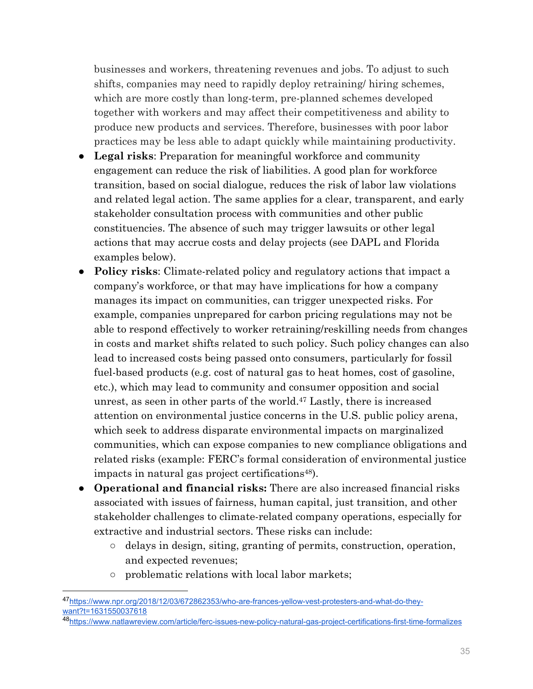businesses and workers, threatening revenues and jobs. To adjust to such shifts, companies may need to rapidly deploy retraining/ hiring schemes, which are more costly than long-term, pre-planned schemes developed together with workers and may affect their competitiveness and ability to produce new products and services. Therefore, businesses with poor labor practices may be less able to adapt quickly while maintaining productivity.

- **Legal risks**: Preparation for meaningful workforce and community engagement can reduce the risk of liabilities. A good plan for workforce transition, based on social dialogue, reduces the risk of labor law violations and related legal action. The same applies for a clear, transparent, and early stakeholder consultation process with communities and other public constituencies. The absence of such may trigger lawsuits or other legal actions that may accrue costs and delay projects (see DAPL and Florida examples below).
- **Policy risks**: Climate-related policy and regulatory actions that impact a company's workforce, or that may have implications for how a company manages its impact on communities, can trigger unexpected risks. For example, companies unprepared for carbon pricing regulations may not be able to respond effectively to worker retraining/reskilling needs from changes in costs and market shifts related to such policy. Such policy changes can also lead to increased costs being passed onto consumers, particularly for fossil fuel-based products (e.g. cost of natural gas to heat homes, cost of gasoline, etc.), which may lead to community and consumer opposition and social unrest, as seen in other parts of the world.47 Lastly, there is increased attention on environmental justice concerns in the U.S. public policy arena, which seek to address disparate environmental impacts on marginalized communities, which can expose companies to new compliance obligations and related risks (example: FERC's formal consideration of environmental justice impacts in natural gas project certifications<sup>48</sup>).
- **Operational and financial risks:** There are also increased financial risks associated with issues of fairness, human capital, just transition, and other stakeholder challenges to climate-related company operations, especially for extractive and industrial sectors. These risks can include:
	- delays in design, siting, granting of permits, construction, operation, and expected revenues;
	- problematic relations with local labor markets;

 $\overline{a}$ 

<sup>&</sup>lt;sup>47</sup>https://www.npr.org/2018/12/03/672862353/who-are-frances-yellow-vest-protesters-and-what-do-they-<br>want?t=1631550037618

<sup>48</sup>https://www.natlawreview.com/article/ferc-issues-new-policy-natural-gas-project-certifications-first-time-formalizes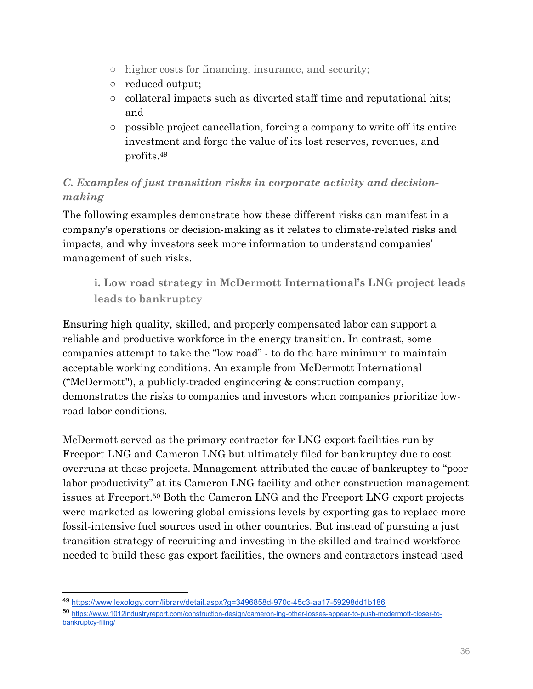- higher costs for financing, insurance, and security;
- reduced output;
- $\circ$  collateral impacts such as diverted staff time and reputational hits; and
- possible project cancellation, forcing a company to write off its entire investment and forgo the value of its lost reserves, revenues, and profits.49

# *C. Examples of just transition risks in corporate activity and decisionmaking*

The following examples demonstrate how these different risks can manifest in a company's operations or decision-making as it relates to climate-related risks and impacts, and why investors seek more information to understand companies' management of such risks.

**i. Low road strategy in McDermott International's LNG project leads leads to bankruptcy** 

Ensuring high quality, skilled, and properly compensated labor can support a reliable and productive workforce in the energy transition. In contrast, some companies attempt to take the "low road" - to do the bare minimum to maintain acceptable working conditions. An example from McDermott International ("McDermott''), a publicly-traded engineering & construction company, demonstrates the risks to companies and investors when companies prioritize lowroad labor conditions.

McDermott served as the primary contractor for LNG export facilities run by Freeport LNG and Cameron LNG but ultimately filed for bankruptcy due to cost overruns at these projects. Management attributed the cause of bankruptcy to "poor labor productivity" at its Cameron LNG facility and other construction management issues at Freeport.50 Both the Cameron LNG and the Freeport LNG export projects were marketed as lowering global emissions levels by exporting gas to replace more fossil-intensive fuel sources used in other countries. But instead of pursuing a just transition strategy of recruiting and investing in the skilled and trained workforce needed to build these gas export facilities, the owners and contractors instead used

<sup>49</sup> https://www.lexology.com/library/detail.aspx?g=3496858d-970c-45c3-aa17-59298dd1b186

<sup>50</sup> https://www.1012industryreport.com/construction-design/cameron-lng-other-losses-appear-to-push-mcdermott-closer-tobankruptcy-filing/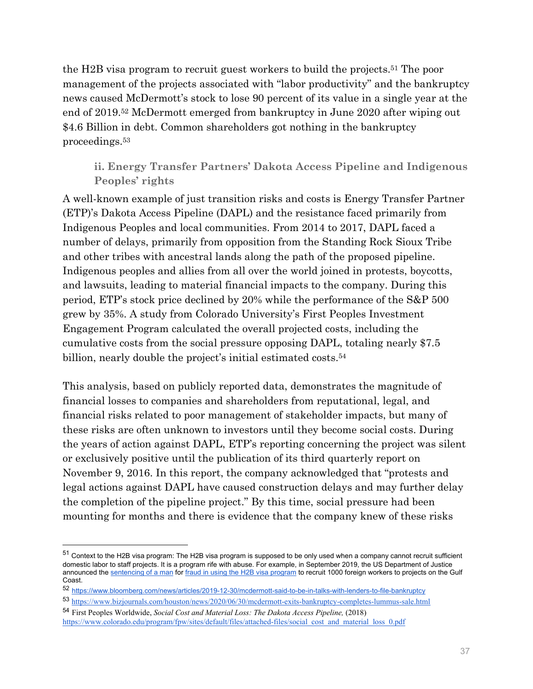the H2B visa program to recruit guest workers to build the projects.51 The poor management of the projects associated with "labor productivity" and the bankruptcy news caused McDermott's stock to lose 90 percent of its value in a single year at the end of 2019.52 McDermott emerged from bankruptcy in June 2020 after wiping out \$4.6 Billion in debt. Common shareholders got nothing in the bankruptcy proceedings.53

**ii. Energy Transfer Partners' Dakota Access Pipeline and Indigenous Peoples' rights** 

A well-known example of just transition risks and costs is Energy Transfer Partner (ETP)'s Dakota Access Pipeline (DAPL) and the resistance faced primarily from Indigenous Peoples and local communities. From 2014 to 2017, DAPL faced a number of delays, primarily from opposition from the Standing Rock Sioux Tribe and other tribes with ancestral lands along the path of the proposed pipeline. Indigenous peoples and allies from all over the world joined in protests, boycotts, and lawsuits, leading to material financial impacts to the company. During this period, ETP's stock price declined by 20% while the performance of the S&P 500 grew by 35%. A study from Colorado University's First Peoples Investment Engagement Program calculated the overall projected costs, including the cumulative costs from the social pressure opposing DAPL, totaling nearly \$7.5 billion, nearly double the project's initial estimated costs.<sup>54</sup>

This analysis, based on publicly reported data, demonstrates the magnitude of financial losses to companies and shareholders from reputational, legal, and financial risks related to poor management of stakeholder impacts, but many of these risks are often unknown to investors until they become social costs. During the years of action against DAPL, ETP's reporting concerning the project was silent or exclusively positive until the publication of its third quarterly report on November 9, 2016. In this report, the company acknowledged that "protests and legal actions against DAPL have caused construction delays and may further delay the completion of the pipeline project." By this time, social pressure had been mounting for months and there is evidence that the company knew of these risks

 $\overline{a}$ 

<sup>51</sup> Context to the H2B visa program: The H2B visa program is supposed to be only used when a company cannot recruit sufficient domestic labor to staff projects. It is a program rife with abuse. For example, in September 2019, the US Department of Justice announced the sentencing of a man for fraud in using the H2B visa program to recruit 1000 foreign workers to projects on the Gulf Coast.

<sup>52</sup> https://www.bloomberg.com/news/articles/2019-12-30/mcdermott-said-to-be-in-talks-with-lenders-to-file-bankruptcy

<sup>53</sup> https://www.bizjournals.com/houston/news/2020/06/30/mcdermott-exits-bankruptcy-completes-lummus-sale.html

<sup>54</sup> First Peoples Worldwide, *Social Cost and Material Loss: The Dakota Access Pipeline,* (2018) https://www.colorado.edu/program/fpw/sites/default/files/attached-files/social\_cost\_and\_material\_loss\_0.pdf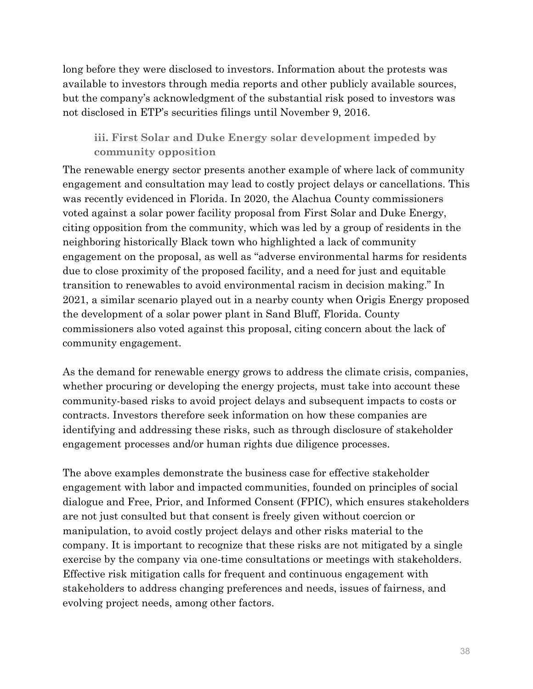long before they were disclosed to investors. Information about the protests was available to investors through media reports and other publicly available sources, but the company's acknowledgment of the substantial risk posed to investors was not disclosed in ETP's securities filings until November 9, 2016.

**iii. First Solar and Duke Energy solar development impeded by community opposition** 

The renewable energy sector presents another example of where lack of community engagement and consultation may lead to costly project delays or cancellations. This was recently evidenced in Florida. In 2020, the Alachua County commissioners voted against a solar power facility proposal from First Solar and Duke Energy, citing opposition from the community, which was led by a group of residents in the neighboring historically Black town who highlighted a lack of community engagement on the proposal, as well as "adverse environmental harms for residents due to close proximity of the proposed facility, and a need for just and equitable transition to renewables to avoid environmental racism in decision making." In 2021, a similar scenario played out in a nearby county when Origis Energy proposed the development of a solar power plant in Sand Bluff, Florida. County commissioners also voted against this proposal, citing concern about the lack of community engagement.

As the demand for renewable energy grows to address the climate crisis, companies, whether procuring or developing the energy projects, must take into account these community-based risks to avoid project delays and subsequent impacts to costs or contracts. Investors therefore seek information on how these companies are identifying and addressing these risks, such as through disclosure of stakeholder engagement processes and/or human rights due diligence processes.

The above examples demonstrate the business case for effective stakeholder engagement with labor and impacted communities, founded on principles of social dialogue and Free, Prior, and Informed Consent (FPIC), which ensures stakeholders are not just consulted but that consent is freely given without coercion or manipulation, to avoid costly project delays and other risks material to the company. It is important to recognize that these risks are not mitigated by a single exercise by the company via one-time consultations or meetings with stakeholders. Effective risk mitigation calls for frequent and continuous engagement with stakeholders to address changing preferences and needs, issues of fairness, and evolving project needs, among other factors.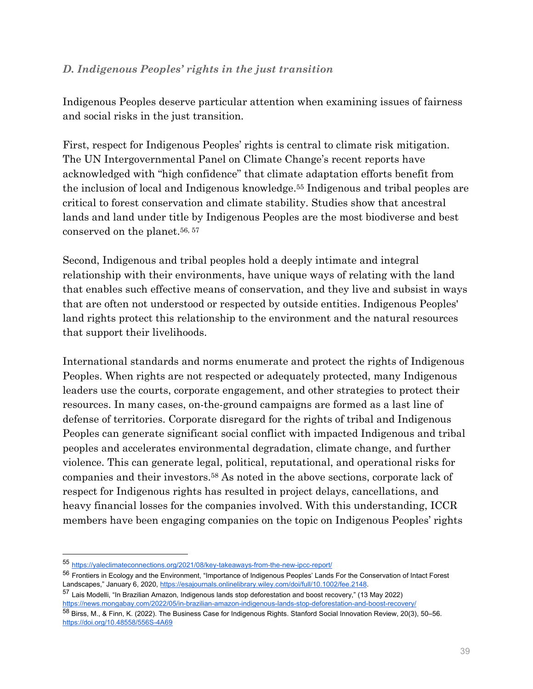### *D. Indigenous Peoples' rights in the just transition*

Indigenous Peoples deserve particular attention when examining issues of fairness and social risks in the just transition.

First, respect for Indigenous Peoples' rights is central to climate risk mitigation. The UN Intergovernmental Panel on Climate Change's recent reports have acknowledged with "high confidence" that climate adaptation efforts benefit from the inclusion of local and Indigenous knowledge.55 Indigenous and tribal peoples are critical to forest conservation and climate stability. Studies show that ancestral lands and land under title by Indigenous Peoples are the most biodiverse and best conserved on the planet.<sup>56, 57</sup>

Second, Indigenous and tribal peoples hold a deeply intimate and integral relationship with their environments, have unique ways of relating with the land that enables such effective means of conservation, and they live and subsist in ways that are often not understood or respected by outside entities. Indigenous Peoples' land rights protect this relationship to the environment and the natural resources that support their livelihoods.

International standards and norms enumerate and protect the rights of Indigenous Peoples. When rights are not respected or adequately protected, many Indigenous leaders use the courts, corporate engagement, and other strategies to protect their resources. In many cases, on-the-ground campaigns are formed as a last line of defense of territories. Corporate disregard for the rights of tribal and Indigenous Peoples can generate significant social conflict with impacted Indigenous and tribal peoples and accelerates environmental degradation, climate change, and further violence. This can generate legal, political, reputational, and operational risks for companies and their investors.58 As noted in the above sections, corporate lack of respect for Indigenous rights has resulted in project delays, cancellations, and heavy financial losses for the companies involved. With this understanding, ICCR members have been engaging companies on the topic on Indigenous Peoples' rights

<sup>55</sup> https://yaleclimateconnections.org/2021/08/key-takeaways-from-the-new-ipcc-report/

<sup>&</sup>lt;sup>56</sup> Frontiers in Ecology and the Environment, "Importance of Indigenous Peoples' Lands For the Conservation of Intact Forest Landscapes," January 6, 2020, https://esajournals.onlinelibrary.wiley.com/doi/full/10.1002/fee.2148.

<sup>57</sup> Lais Modelli, "In Brazilian Amazon, Indigenous lands stop deforestation and boost recovery," (13 May 2022) https://news.mongabay.com/2022/05/in-brazilian-amazon-indigenous-lands-stop-deforestation-and-boost-recovery/

<sup>58</sup> Birss, M., & Finn, K. (2022). The Business Case for Indigenous Rights. Stanford Social Innovation Review, 20(3), 50–56. https://doi.org/10.48558/556S-4A69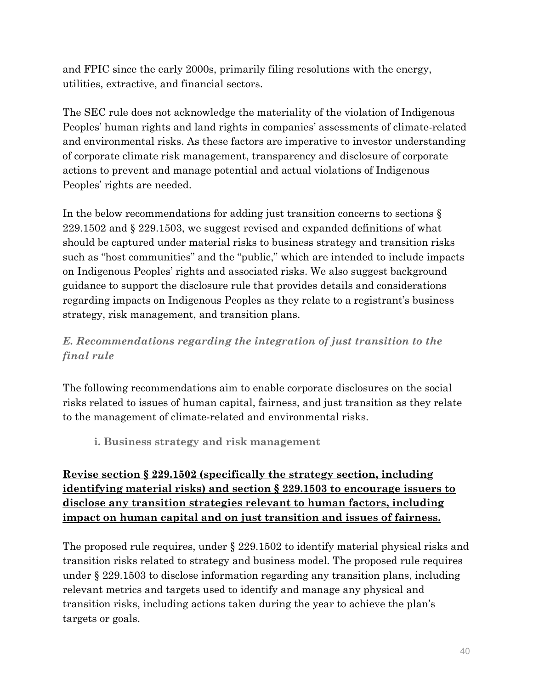and FPIC since the early 2000s, primarily filing resolutions with the energy, utilities, extractive, and financial sectors.

The SEC rule does not acknowledge the materiality of the violation of Indigenous Peoples' human rights and land rights in companies' assessments of climate-related and environmental risks. As these factors are imperative to investor understanding of corporate climate risk management, transparency and disclosure of corporate actions to prevent and manage potential and actual violations of Indigenous Peoples' rights are needed.

In the below recommendations for adding just transition concerns to sections § 229.1502 and § 229.1503, we suggest revised and expanded definitions of what should be captured under material risks to business strategy and transition risks such as "host communities" and the "public," which are intended to include impacts on Indigenous Peoples' rights and associated risks. We also suggest background guidance to support the disclosure rule that provides details and considerations regarding impacts on Indigenous Peoples as they relate to a registrant's business strategy, risk management, and transition plans.

# *E. Recommendations regarding the integration of just transition to the final rule*

The following recommendations aim to enable corporate disclosures on the social risks related to issues of human capital, fairness, and just transition as they relate to the management of climate-related and environmental risks.

**i. Business strategy and risk management** 

# **Revise section § 229.1502 (specifically the strategy section, including identifying material risks) and section § 229.1503 to encourage issuers to disclose any transition strategies relevant to human factors, including impact on human capital and on just transition and issues of fairness.**

The proposed rule requires, under § 229.1502 to identify material physical risks and transition risks related to strategy and business model. The proposed rule requires under § 229.1503 to disclose information regarding any transition plans, including relevant metrics and targets used to identify and manage any physical and transition risks, including actions taken during the year to achieve the plan's targets or goals.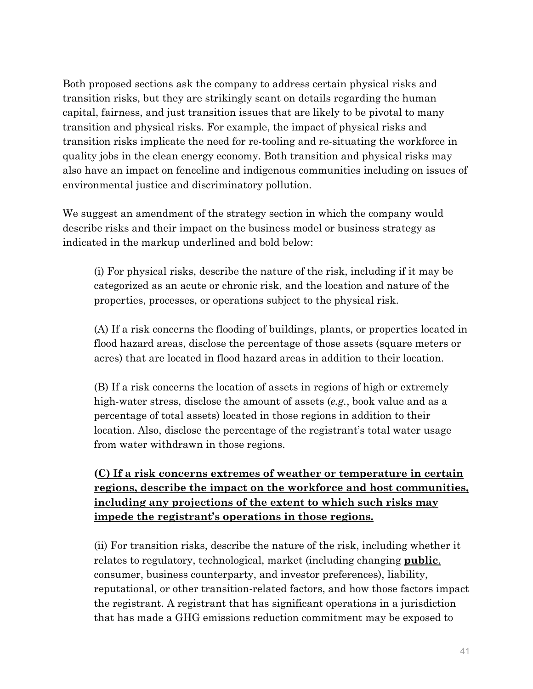Both proposed sections ask the company to address certain physical risks and transition risks, but they are strikingly scant on details regarding the human capital, fairness, and just transition issues that are likely to be pivotal to many transition and physical risks. For example, the impact of physical risks and transition risks implicate the need for re-tooling and re-situating the workforce in quality jobs in the clean energy economy. Both transition and physical risks may also have an impact on fenceline and indigenous communities including on issues of environmental justice and discriminatory pollution.

We suggest an amendment of the strategy section in which the company would describe risks and their impact on the business model or business strategy as indicated in the markup underlined and bold below:

(i) For physical risks, describe the nature of the risk, including if it may be categorized as an acute or chronic risk, and the location and nature of the properties, processes, or operations subject to the physical risk.

(A) If a risk concerns the flooding of buildings, plants, or properties located in flood hazard areas, disclose the percentage of those assets (square meters or acres) that are located in flood hazard areas in addition to their location.

(B) If a risk concerns the location of assets in regions of high or extremely high-water stress, disclose the amount of assets (*e.g.*, book value and as a percentage of total assets) located in those regions in addition to their location. Also, disclose the percentage of the registrant's total water usage from water withdrawn in those regions.

**(C) If a risk concerns extremes of weather or temperature in certain regions, describe the impact on the workforce and host communities, including any projections of the extent to which such risks may impede the registrant's operations in those regions.** 

(ii) For transition risks, describe the nature of the risk, including whether it relates to regulatory, technological, market (including changing **public**, consumer, business counterparty, and investor preferences), liability, reputational, or other transition-related factors, and how those factors impact the registrant. A registrant that has significant operations in a jurisdiction that has made a GHG emissions reduction commitment may be exposed to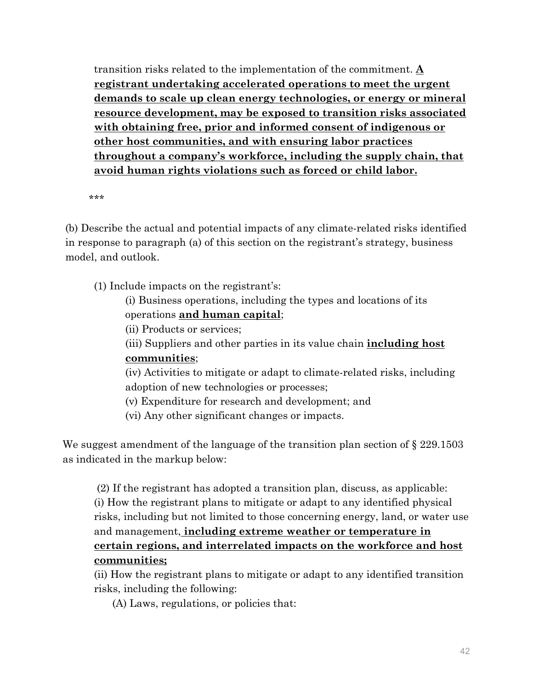transition risks related to the implementation of the commitment. **A registrant undertaking accelerated operations to meet the urgent demands to scale up clean energy technologies, or energy or mineral resource development, may be exposed to transition risks associated with obtaining free, prior and informed consent of indigenous or other host communities, and with ensuring labor practices throughout a company's workforce, including the supply chain, that avoid human rights violations such as forced or child labor.** 

\*\*\*

(b) Describe the actual and potential impacts of any climate-related risks identified in response to paragraph (a) of this section on the registrant's strategy, business model, and outlook.

(1) Include impacts on the registrant's:

(i) Business operations, including the types and locations of its operations **and human capital**;

(ii) Products or services;

(iii) Suppliers and other parties in its value chain **including host communities**;

(iv) Activities to mitigate or adapt to climate-related risks, including adoption of new technologies or processes;

(v) Expenditure for research and development; and

(vi) Any other significant changes or impacts.

We suggest amendment of the language of the transition plan section of  $\S 229.1503$ as indicated in the markup below:

 (2) If the registrant has adopted a transition plan, discuss, as applicable: (i) How the registrant plans to mitigate or adapt to any identified physical risks, including but not limited to those concerning energy, land, or water use and management, **including extreme weather or temperature in certain regions, and interrelated impacts on the workforce and host communities;** 

(ii) How the registrant plans to mitigate or adapt to any identified transition risks, including the following:

(A) Laws, regulations, or policies that: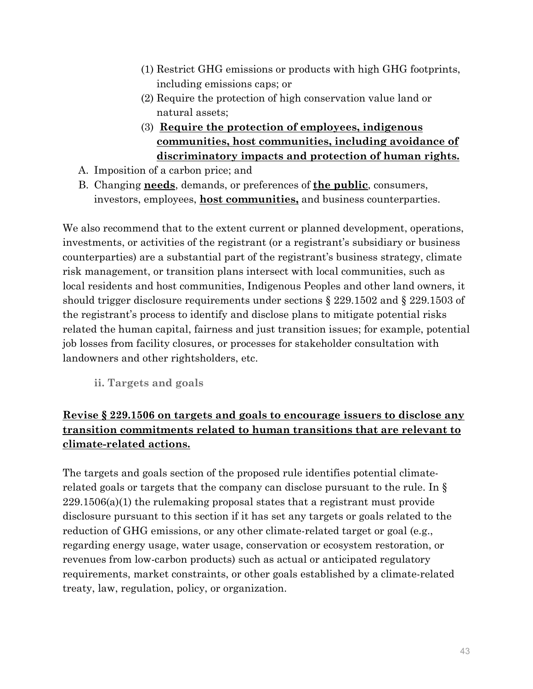- (1) Restrict GHG emissions or products with high GHG footprints, including emissions caps; or
- (2) Require the protection of high conservation value land or natural assets;
- (3) **Require the protection of employees, indigenous communities, host communities, including avoidance of discriminatory impacts and protection of human rights.**
- A. Imposition of a carbon price; and
- B. Changing **needs**, demands, or preferences of **the public**, consumers, investors, employees, **host communities,** and business counterparties.

We also recommend that to the extent current or planned development, operations, investments, or activities of the registrant (or a registrant's subsidiary or business counterparties) are a substantial part of the registrant's business strategy, climate risk management, or transition plans intersect with local communities, such as local residents and host communities, Indigenous Peoples and other land owners, it should trigger disclosure requirements under sections § 229.1502 and § 229.1503 of the registrant's process to identify and disclose plans to mitigate potential risks related the human capital, fairness and just transition issues; for example, potential job losses from facility closures, or processes for stakeholder consultation with landowners and other rightsholders, etc.

**ii. Targets and goals** 

# **Revise § 229.1506 on targets and goals to encourage issuers to disclose any transition commitments related to human transitions that are relevant to climate-related actions.**

The targets and goals section of the proposed rule identifies potential climaterelated goals or targets that the company can disclose pursuant to the rule. In § 229.1506(a)(1) the rulemaking proposal states that a registrant must provide disclosure pursuant to this section if it has set any targets or goals related to the reduction of GHG emissions, or any other climate-related target or goal (e.g., regarding energy usage, water usage, conservation or ecosystem restoration, or revenues from low-carbon products) such as actual or anticipated regulatory requirements, market constraints, or other goals established by a climate-related treaty, law, regulation, policy, or organization.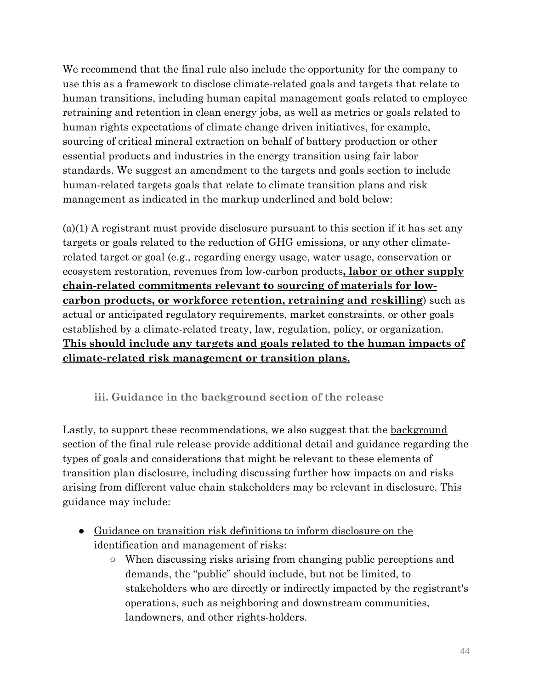We recommend that the final rule also include the opportunity for the company to use this as a framework to disclose climate-related goals and targets that relate to human transitions, including human capital management goals related to employee retraining and retention in clean energy jobs, as well as metrics or goals related to human rights expectations of climate change driven initiatives, for example, sourcing of critical mineral extraction on behalf of battery production or other essential products and industries in the energy transition using fair labor standards. We suggest an amendment to the targets and goals section to include human-related targets goals that relate to climate transition plans and risk management as indicated in the markup underlined and bold below:

(a)(1) A registrant must provide disclosure pursuant to this section if it has set any targets or goals related to the reduction of GHG emissions, or any other climaterelated target or goal (e.g., regarding energy usage, water usage, conservation or ecosystem restoration, revenues from low-carbon products**, labor or other supply chain-related commitments relevant to sourcing of materials for lowcarbon products, or workforce retention, retraining and reskilling**) such as actual or anticipated regulatory requirements, market constraints, or other goals established by a climate-related treaty, law, regulation, policy, or organization. **This should include any targets and goals related to the human impacts of climate-related risk management or transition plans.** 

# **iii. Guidance in the background section of the release**

Lastly, to support these recommendations, we also suggest that the background section of the final rule release provide additional detail and guidance regarding the types of goals and considerations that might be relevant to these elements of transition plan disclosure, including discussing further how impacts on and risks arising from different value chain stakeholders may be relevant in disclosure. This guidance may include:

- Guidance on transition risk definitions to inform disclosure on the identification and management of risks:
	- When discussing risks arising from changing public perceptions and demands, the "public" should include, but not be limited, to stakeholders who are directly or indirectly impacted by the registrant's operations, such as neighboring and downstream communities, landowners, and other rights-holders.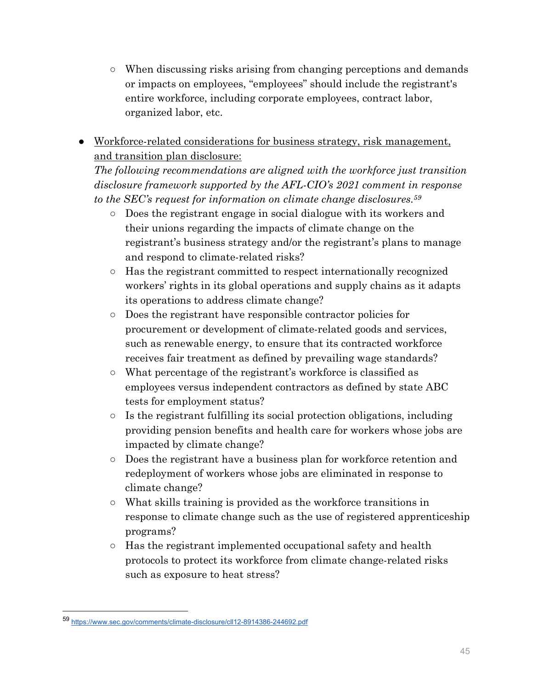- When discussing risks arising from changing perceptions and demands or impacts on employees, "employees" should include the registrant's entire workforce, including corporate employees, contract labor, organized labor, etc.
- Workforce-related considerations for business strategy, risk management, and transition plan disclosure:

*The following recommendations are aligned with the workforce just transition disclosure framework supported by the AFL-CIO's 2021 comment in response to the SEC's request for information on climate change disclosures.59*

- Does the registrant engage in social dialogue with its workers and their unions regarding the impacts of climate change on the registrant's business strategy and/or the registrant's plans to manage and respond to climate-related risks?
- Has the registrant committed to respect internationally recognized workers' rights in its global operations and supply chains as it adapts its operations to address climate change?
- Does the registrant have responsible contractor policies for procurement or development of climate-related goods and services, such as renewable energy, to ensure that its contracted workforce receives fair treatment as defined by prevailing wage standards?
- What percentage of the registrant's workforce is classified as employees versus independent contractors as defined by state ABC tests for employment status?
- $\circ$  Is the registrant fulfilling its social protection obligations, including providing pension benefits and health care for workers whose jobs are impacted by climate change?
- Does the registrant have a business plan for workforce retention and redeployment of workers whose jobs are eliminated in response to climate change?
- What skills training is provided as the workforce transitions in response to climate change such as the use of registered apprenticeship programs?
- Has the registrant implemented occupational safety and health protocols to protect its workforce from climate change-related risks such as exposure to heat stress?

<sup>59</sup> https://www.sec.gov/comments/climate-disclosure/cll12-8914386-244692.pdf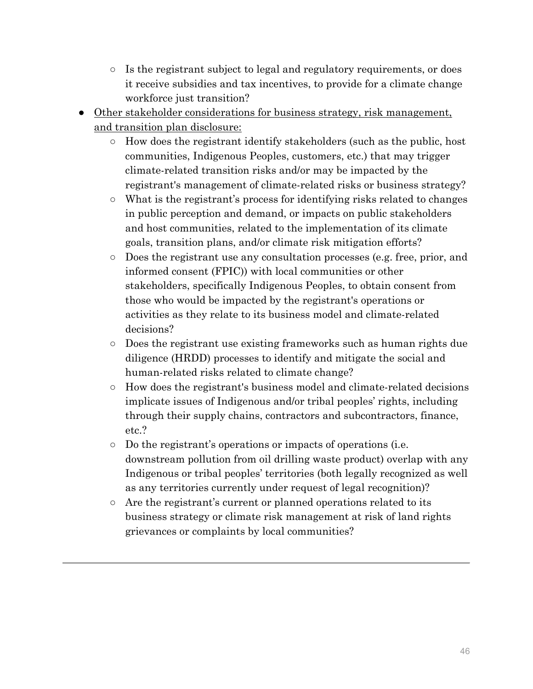- Is the registrant subject to legal and regulatory requirements, or does it receive subsidies and tax incentives, to provide for a climate change workforce just transition?
- Other stakeholder considerations for business strategy, risk management, and transition plan disclosure:
	- How does the registrant identify stakeholders (such as the public, host communities, Indigenous Peoples, customers, etc.) that may trigger climate-related transition risks and/or may be impacted by the registrant's management of climate-related risks or business strategy?
	- What is the registrant's process for identifying risks related to changes in public perception and demand, or impacts on public stakeholders and host communities, related to the implementation of its climate goals, transition plans, and/or climate risk mitigation efforts?
	- Does the registrant use any consultation processes (e.g. free, prior, and informed consent (FPIC)) with local communities or other stakeholders, specifically Indigenous Peoples, to obtain consent from those who would be impacted by the registrant's operations or activities as they relate to its business model and climate-related decisions?
	- Does the registrant use existing frameworks such as human rights due diligence (HRDD) processes to identify and mitigate the social and human-related risks related to climate change?
	- How does the registrant's business model and climate-related decisions implicate issues of Indigenous and/or tribal peoples' rights, including through their supply chains, contractors and subcontractors, finance, etc.?
	- Do the registrant's operations or impacts of operations (i.e. downstream pollution from oil drilling waste product) overlap with any Indigenous or tribal peoples' territories (both legally recognized as well as any territories currently under request of legal recognition)?
	- Are the registrant's current or planned operations related to its business strategy or climate risk management at risk of land rights grievances or complaints by local communities?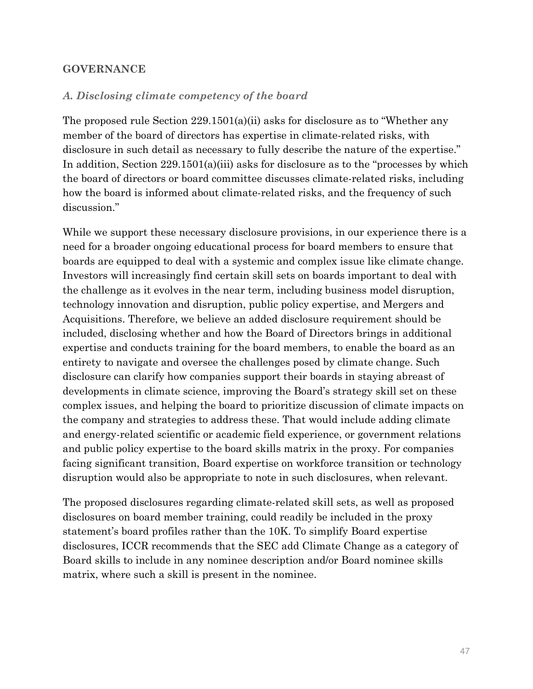#### **GOVERNANCE**

#### *A. Disclosing climate competency of the board*

The proposed rule Section  $229.1501(a)(ii)$  asks for disclosure as to "Whether any member of the board of directors has expertise in climate-related risks, with disclosure in such detail as necessary to fully describe the nature of the expertise." In addition, Section 229.1501(a)(iii) asks for disclosure as to the "processes by which the board of directors or board committee discusses climate-related risks, including how the board is informed about climate-related risks, and the frequency of such discussion."

While we support these necessary disclosure provisions, in our experience there is a need for a broader ongoing educational process for board members to ensure that boards are equipped to deal with a systemic and complex issue like climate change. Investors will increasingly find certain skill sets on boards important to deal with the challenge as it evolves in the near term, including business model disruption, technology innovation and disruption, public policy expertise, and Mergers and Acquisitions. Therefore, we believe an added disclosure requirement should be included, disclosing whether and how the Board of Directors brings in additional expertise and conducts training for the board members, to enable the board as an entirety to navigate and oversee the challenges posed by climate change. Such disclosure can clarify how companies support their boards in staying abreast of developments in climate science, improving the Board's strategy skill set on these complex issues, and helping the board to prioritize discussion of climate impacts on the company and strategies to address these. That would include adding climate and energy-related scientific or academic field experience, or government relations and public policy expertise to the board skills matrix in the proxy. For companies facing significant transition, Board expertise on workforce transition or technology disruption would also be appropriate to note in such disclosures, when relevant.

The proposed disclosures regarding climate-related skill sets, as well as proposed disclosures on board member training, could readily be included in the proxy statement's board profiles rather than the 10K. To simplify Board expertise disclosures, ICCR recommends that the SEC add Climate Change as a category of Board skills to include in any nominee description and/or Board nominee skills matrix, where such a skill is present in the nominee.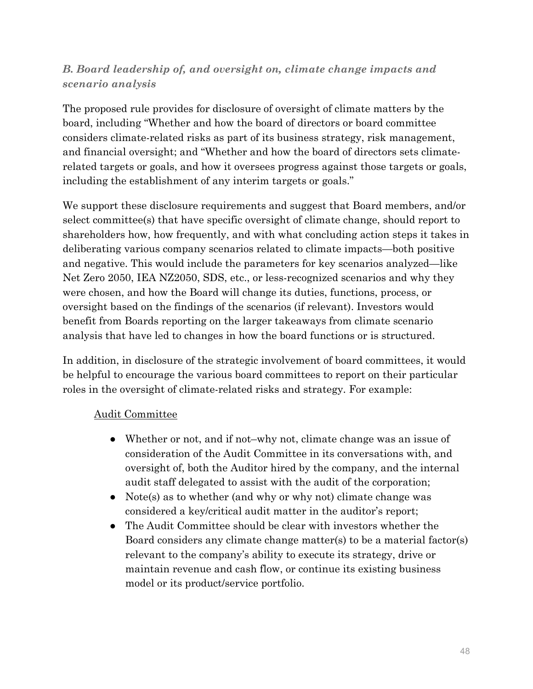# *B. Board leadership of, and oversight on, climate change impacts and scenario analysis*

The proposed rule provides for disclosure of oversight of climate matters by the board, including "Whether and how the board of directors or board committee considers climate-related risks as part of its business strategy, risk management, and financial oversight; and "Whether and how the board of directors sets climaterelated targets or goals, and how it oversees progress against those targets or goals, including the establishment of any interim targets or goals."

We support these disclosure requirements and suggest that Board members, and/or select committee(s) that have specific oversight of climate change, should report to shareholders how, how frequently, and with what concluding action steps it takes in deliberating various company scenarios related to climate impacts—both positive and negative. This would include the parameters for key scenarios analyzed—like Net Zero 2050, IEA NZ2050, SDS, etc., or less-recognized scenarios and why they were chosen, and how the Board will change its duties, functions, process, or oversight based on the findings of the scenarios (if relevant). Investors would benefit from Boards reporting on the larger takeaways from climate scenario analysis that have led to changes in how the board functions or is structured.

In addition, in disclosure of the strategic involvement of board committees, it would be helpful to encourage the various board committees to report on their particular roles in the oversight of climate-related risks and strategy. For example:

# Audit Committee

- Whether or not, and if not-why not, climate change was an issue of consideration of the Audit Committee in its conversations with, and oversight of, both the Auditor hired by the company, and the internal audit staff delegated to assist with the audit of the corporation;
- Note(s) as to whether (and why or why not) climate change was considered a key/critical audit matter in the auditor's report;
- The Audit Committee should be clear with investors whether the Board considers any climate change matter(s) to be a material factor(s) relevant to the company's ability to execute its strategy, drive or maintain revenue and cash flow, or continue its existing business model or its product/service portfolio.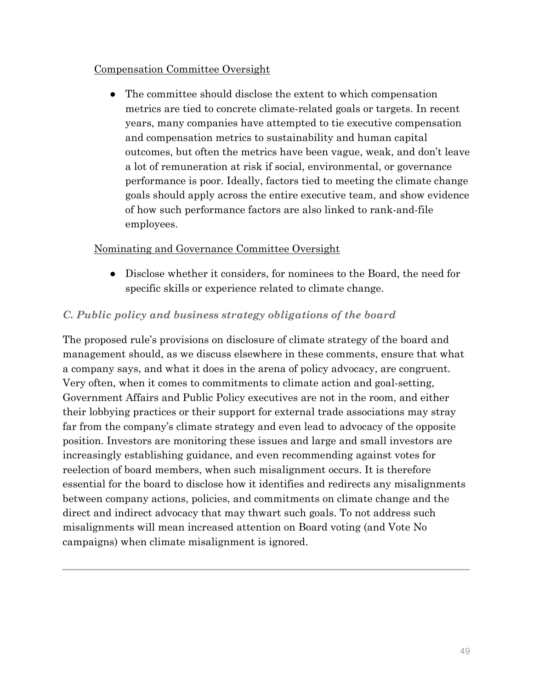### Compensation Committee Oversight

• The committee should disclose the extent to which compensation metrics are tied to concrete climate-related goals or targets. In recent years, many companies have attempted to tie executive compensation and compensation metrics to sustainability and human capital outcomes, but often the metrics have been vague, weak, and don't leave a lot of remuneration at risk if social, environmental, or governance performance is poor. Ideally, factors tied to meeting the climate change goals should apply across the entire executive team, and show evidence of how such performance factors are also linked to rank-and-file employees.

### Nominating and Governance Committee Oversight

• Disclose whether it considers, for nominees to the Board, the need for specific skills or experience related to climate change.

### *C. Public policy and business strategy obligations of the board*

The proposed rule's provisions on disclosure of climate strategy of the board and management should, as we discuss elsewhere in these comments, ensure that what a company says, and what it does in the arena of policy advocacy, are congruent. Very often, when it comes to commitments to climate action and goal-setting, Government Affairs and Public Policy executives are not in the room, and either their lobbying practices or their support for external trade associations may stray far from the company's climate strategy and even lead to advocacy of the opposite position. Investors are monitoring these issues and large and small investors are increasingly establishing guidance, and even recommending against votes for reelection of board members, when such misalignment occurs. It is therefore essential for the board to disclose how it identifies and redirects any misalignments between company actions, policies, and commitments on climate change and the direct and indirect advocacy that may thwart such goals. To not address such misalignments will mean increased attention on Board voting (and Vote No campaigns) when climate misalignment is ignored.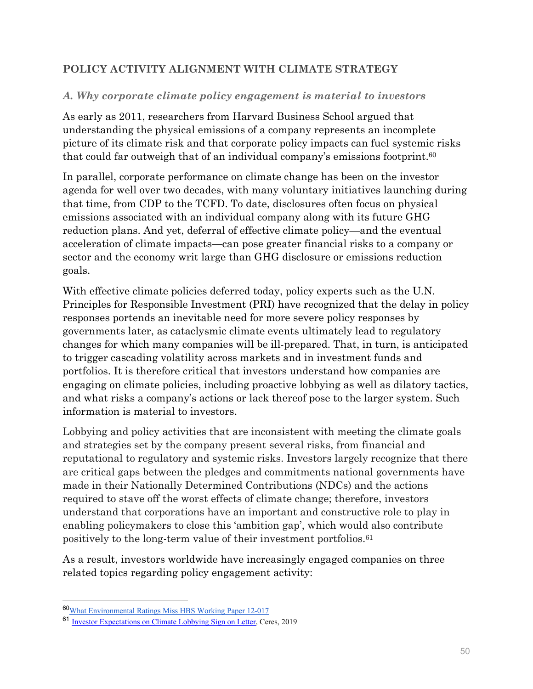# **POLICY ACTIVITY ALIGNMENT WITH CLIMATE STRATEGY**

### *A. Why corporate climate policy engagement is material to investors*

As early as 2011, researchers from Harvard Business School argued that understanding the physical emissions of a company represents an incomplete picture of its climate risk and that corporate policy impacts can fuel systemic risks that could far outweigh that of an individual company's emissions footprint.60

In parallel, corporate performance on climate change has been on the investor agenda for well over two decades, with many voluntary initiatives launching during that time, from CDP to the TCFD. To date, disclosures often focus on physical emissions associated with an individual company along with its future GHG reduction plans. And yet, deferral of effective climate policy—and the eventual acceleration of climate impacts—can pose greater financial risks to a company or sector and the economy writ large than GHG disclosure or emissions reduction goals.

With effective climate policies deferred today, policy experts such as the U.N. Principles for Responsible Investment (PRI) have recognized that the delay in policy responses portends an inevitable need for more severe policy responses by governments later, as cataclysmic climate events ultimately lead to regulatory changes for which many companies will be ill-prepared. That, in turn, is anticipated to trigger cascading volatility across markets and in investment funds and portfolios. It is therefore critical that investors understand how companies are engaging on climate policies, including proactive lobbying as well as dilatory tactics, and what risks a company's actions or lack thereof pose to the larger system. Such information is material to investors.

Lobbying and policy activities that are inconsistent with meeting the climate goals and strategies set by the company present several risks, from financial and reputational to regulatory and systemic risks. Investors largely recognize that there are critical gaps between the pledges and commitments national governments have made in their Nationally Determined Contributions (NDCs) and the actions required to stave off the worst effects of climate change; therefore, investors understand that corporations have an important and constructive role to play in enabling policymakers to close this 'ambition gap', which would also contribute positively to the long-term value of their investment portfolios.61

As a result, investors worldwide have increasingly engaged companies on three related topics regarding policy engagement activity:

<sup>60</sup>What Environmental Ratings Miss HBS Working Paper 12-017

<sup>61</sup> Investor Expectations on Climate Lobbying Sign on Letter, Ceres, 2019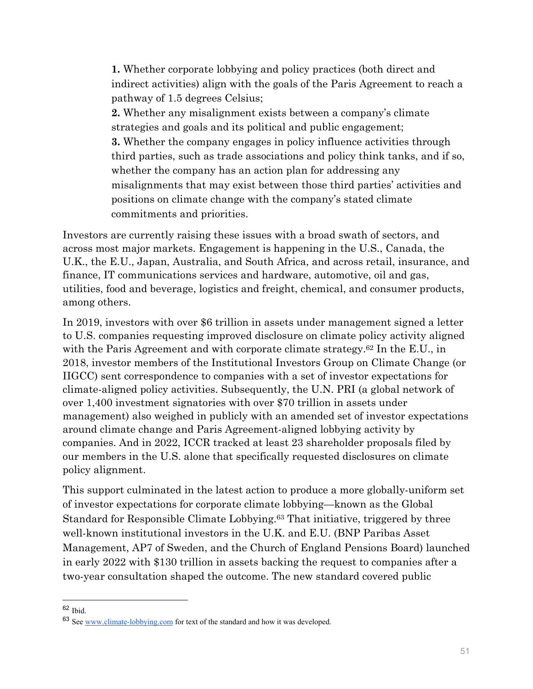**1.** Whether corporate lobbying and policy practices (both direct and indirect activities) align with the goals of the Paris Agreement to reach a pathway of 1.5 degrees Celsius; **2.** Whether any misalignment exists between a company's climate strategies and goals and its political and public engagement; **3.** Whether the company engages in policy influence activities through third parties, such as trade associations and policy think tanks, and if so, whether the company has an action plan for addressing any misalignments that may exist between those third parties' activities and positions on climate change with the company's stated climate commitments and priorities.

Investors are currently raising these issues with a broad swath of sectors, and across most major markets. Engagement is happening in the U.S., Canada, the U.K., the E.U., Japan, Australia, and South Africa, and across retail, insurance, and finance, IT communications services and hardware, automotive, oil and gas, utilities, food and beverage, logistics and freight, chemical, and consumer products, among others.

In 2019, investors with over \$6 trillion in assets under management signed a letter to U.S. companies requesting improved disclosure on climate policy activity aligned with the Paris Agreement and with corporate climate strategy.<sup>62</sup> In the E.U., in 2018, investor members of the Institutional Investors Group on Climate Change (or IIGCC) sent correspondence to companies with a set of investor expectations for climate-aligned policy activities. Subsequently, the U.N. PRI (a global network of over 1,400 investment signatories with over \$70 trillion in assets under management) also weighed in publicly with an amended set of investor expectations around climate change and Paris Agreement-aligned lobbying activity by companies. And in 2022, ICCR tracked at least 23 shareholder proposals filed by our members in the U.S. alone that specifically requested disclosures on climate policy alignment.

This support culminated in the latest action to produce a more globally-uniform set of investor expectations for corporate climate lobbying—known as the Global Standard for Responsible Climate Lobbying.63 That initiative, triggered by three well-known institutional investors in the U.K. and E.U. (BNP Paribas Asset Management, AP7 of Sweden, and the Church of England Pensions Board) launched in early 2022 with \$130 trillion in assets backing the request to companies after a two-year consultation shaped the outcome. The new standard covered public

 $62$  Ibid.

<sup>63</sup> See www.climate-lobbying.com for text of the standard and how it was developed.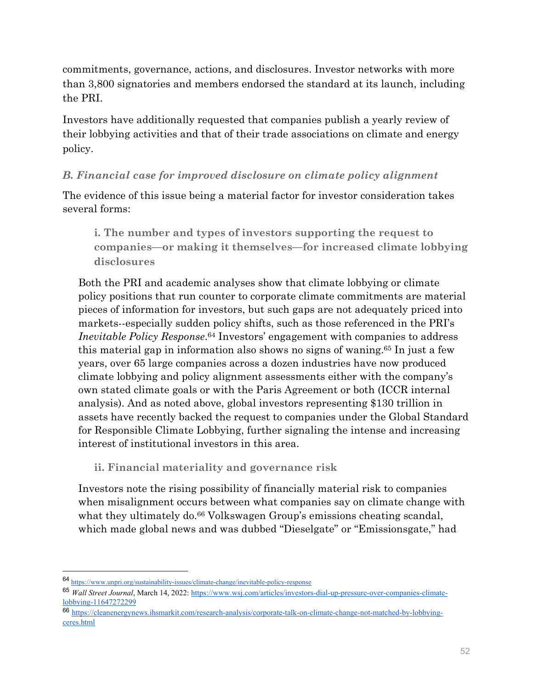commitments, governance, actions, and disclosures. Investor networks with more than 3,800 signatories and members endorsed the standard at its launch, including the PRI.

Investors have additionally requested that companies publish a yearly review of their lobbying activities and that of their trade associations on climate and energy policy.

# *B. Financial case for improved disclosure on climate policy alignment*

The evidence of this issue being a material factor for investor consideration takes several forms:

**i. The number and types of investors supporting the request to companies—or making it themselves—for increased climate lobbying disclosures** 

Both the PRI and academic analyses show that climate lobbying or climate policy positions that run counter to corporate climate commitments are material pieces of information for investors, but such gaps are not adequately priced into markets--especially sudden policy shifts, such as those referenced in the PRI's *Inevitable Policy Response*.64 Investors' engagement with companies to address this material gap in information also shows no signs of waning.65 In just a few years, over 65 large companies across a dozen industries have now produced climate lobbying and policy alignment assessments either with the company's own stated climate goals or with the Paris Agreement or both (ICCR internal analysis). And as noted above, global investors representing \$130 trillion in assets have recently backed the request to companies under the Global Standard for Responsible Climate Lobbying, further signaling the intense and increasing interest of institutional investors in this area.

**ii. Financial materiality and governance risk** 

Investors note the rising possibility of financially material risk to companies when misalignment occurs between what companies say on climate change with what they ultimately do.<sup>66</sup> Volkswagen Group's emissions cheating scandal, which made global news and was dubbed "Dieselgate" or "Emissionsgate," had

<sup>64</sup> https://www.unpri.org/sustainability-issues/climate-change/inevitable-policy-response

<sup>65</sup> *Wall Street Journal*, March 14, 2022: https://www.wsj.com/articles/investors-dial-up-pressure-over-companies-climatelobbying-11647272299

<sup>66</sup> https://cleanenergynews.ihsmarkit.com/research-analysis/corporate-talk-on-climate-change-not-matched-by-lobbyingceres.html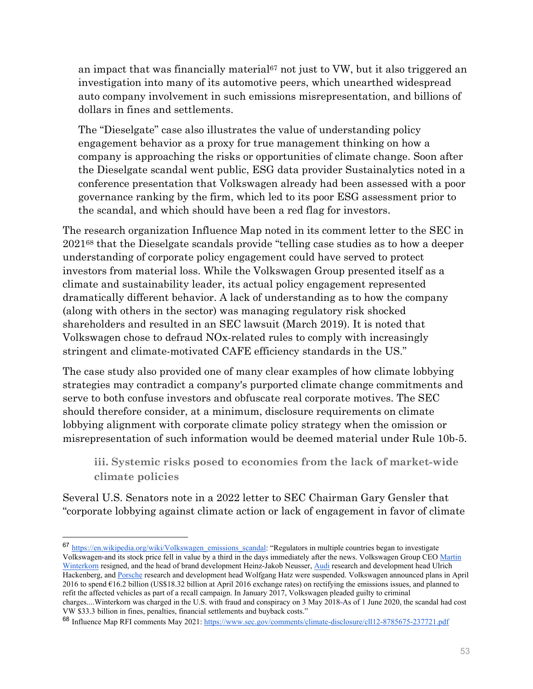an impact that was financially material<sup>67</sup> not just to VW, but it also triggered an investigation into many of its automotive peers, which unearthed widespread auto company involvement in such emissions misrepresentation, and billions of dollars in fines and settlements.

The "Dieselgate" case also illustrates the value of understanding policy engagement behavior as a proxy for true management thinking on how a company is approaching the risks or opportunities of climate change. Soon after the Dieselgate scandal went public, ESG data provider Sustainalytics noted in a conference presentation that Volkswagen already had been assessed with a poor governance ranking by the firm, which led to its poor ESG assessment prior to the scandal, and which should have been a red flag for investors.

The research organization Influence Map noted in its comment letter to the SEC in 202168 that the Dieselgate scandals provide "telling case studies as to how a deeper understanding of corporate policy engagement could have served to protect investors from material loss. While the Volkswagen Group presented itself as a climate and sustainability leader, its actual policy engagement represented dramatically different behavior. A lack of understanding as to how the company (along with others in the sector) was managing regulatory risk shocked shareholders and resulted in an SEC lawsuit (March 2019). It is noted that Volkswagen chose to defraud NOx-related rules to comply with increasingly stringent and climate-motivated CAFE efficiency standards in the US."

The case study also provided one of many clear examples of how climate lobbying strategies may contradict a company's purported climate change commitments and serve to both confuse investors and obfuscate real corporate motives. The SEC should therefore consider, at a minimum, disclosure requirements on climate lobbying alignment with corporate climate policy strategy when the omission or misrepresentation of such information would be deemed material under Rule 10b-5.

**iii. Systemic risks posed to economies from the lack of market-wide climate policies** 

Several U.S. Senators note in a 2022 letter to SEC Chairman Gary Gensler that "corporate lobbying against climate action or lack of engagement in favor of climate

<sup>67</sup> https://en.wikipedia.org/wiki/Volkswagen\_emissions\_scandal: "Regulators in multiple countries began to investigate Volkswagen, and its stock price fell in value by a third in the days immediately after the news. Volkswagen Group CEO Martin Winterkorn resigned, and the head of brand development Heinz-Jakob Neusser, Audi research and development head Ulrich Hackenberg, and Porsche research and development head Wolfgang Hatz were suspended. Volkswagen announced plans in April 2016 to spend  $\epsilon$ 16.2 billion (US\$18.32 billion at April 2016 exchange rates) on rectifying the emissions issues, and planned to refit the affected vehicles as part of a recall campaign. In January 2017, Volkswagen pleaded guilty to criminal charges....Winterkorn was charged in the U.S. with fraud and conspiracy on 3 May 2018. As of 1 June 2020, the scandal had cost VW \$33.3 billion in fines, penalties, financial settlements and buyback costs."

<sup>68</sup> Influence Map RFI comments May 2021: https://www.sec.gov/comments/climate-disclosure/cll12-8785675-237721.pdf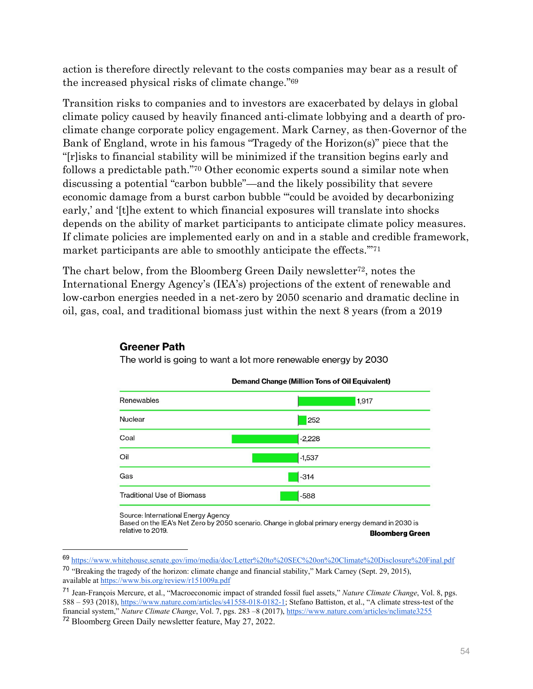action is therefore directly relevant to the costs companies may bear as a result of the increased physical risks of climate change."69

Transition risks to companies and to investors are exacerbated by delays in global climate policy caused by heavily financed anti-climate lobbying and a dearth of proclimate change corporate policy engagement. Mark Carney, as then-Governor of the Bank of England, wrote in his famous "Tragedy of the Horizon(s)" piece that the "[r]isks to financial stability will be minimized if the transition begins early and follows a predictable path."70 Other economic experts sound a similar note when discussing a potential "carbon bubble"—and the likely possibility that severe economic damage from a burst carbon bubble "'could be avoided by decarbonizing early,' and '[t]he extent to which financial exposures will translate into shocks depends on the ability of market participants to anticipate climate policy measures. If climate policies are implemented early on and in a stable and credible framework, market participants are able to smoothly anticipate the effects.'"71

The chart below, from the Bloomberg Green Daily newsletter72, notes the International Energy Agency's (IEA's) projections of the extent of renewable and low-carbon energies needed in a net-zero by 2050 scenario and dramatic decline in oil, gas, coal, and traditional biomass just within the next 8 years (from a 2019

#### **Demand Change (Million Tons of Oil Equivalent)** Renewables 1,917 **Nuclear**  $252$ Coal  $-2,228$ Oil  $-1,537$ Gas  $-314$ **Traditional Use of Biomass**  $-588$

#### **Greener Path**

The world is going to want a lot more renewable energy by 2030

Source: International Energy Agency

Based on the IEA's Net Zero by 2050 scenario. Change in global primary energy demand in 2030 is relative to 2019. **Bloomberg Green** 

<sup>69</sup> https://www.whitehouse.senate.gov/imo/media/doc/Letter%20to%20SEC%20on%20Climate%20Disclosure%20Final.pdf

<sup>70</sup> "Breaking the tragedy of the horizon: climate change and financial stability," Mark Carney (Sept. 29, 2015), available at https://www.bis.org/review/r151009a.pdf

<sup>71</sup> Jean-François Mercure, et al., "Macroeconomic impact of stranded fossil fuel assets," *Nature Climate Change*, Vol. 8, pgs. 588 – 593 (2018), https://www.nature.com/articles/s41558-018-0182-1; Stefano Battiston, et al., "A climate stress-test of the financial system," *Nature Climate Change*, Vol. 7, pgs. 283 –8 (2017), https://www.nature.com/articles/nclimate3255 <sup>72</sup> Bloomberg Green Daily newsletter feature, May 27, 2022.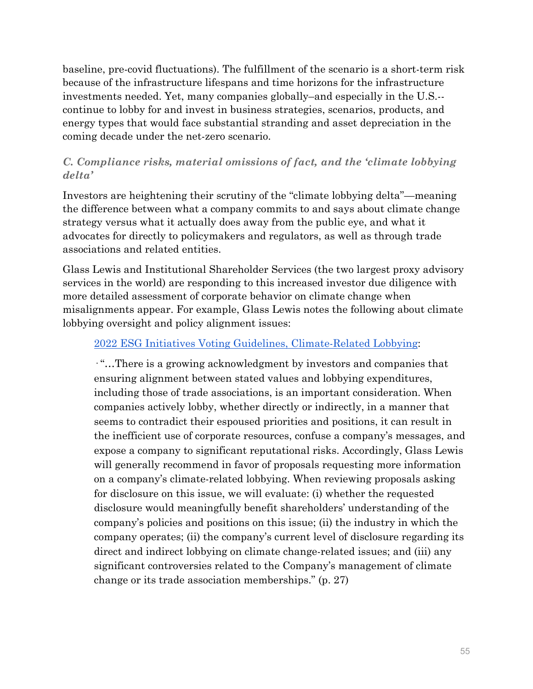baseline, pre-covid fluctuations). The fulfillment of the scenario is a short-term risk because of the infrastructure lifespans and time horizons for the infrastructure investments needed. Yet, many companies globally–and especially in the U.S.- continue to lobby for and invest in business strategies, scenarios, products, and energy types that would face substantial stranding and asset depreciation in the coming decade under the net-zero scenario.

# *C. Compliance risks, material omissions of fact, and the 'climate lobbying delta'*

Investors are heightening their scrutiny of the "climate lobbying delta"—meaning the difference between what a company commits to and says about climate change strategy versus what it actually does away from the public eye, and what it advocates for directly to policymakers and regulators, as well as through trade associations and related entities.

Glass Lewis and Institutional Shareholder Services (the two largest proxy advisory services in the world) are responding to this increased investor due diligence with more detailed assessment of corporate behavior on climate change when misalignments appear. For example, Glass Lewis notes the following about climate lobbying oversight and policy alignment issues:

### 2022 ESG Initiatives Voting Guidelines, Climate-Related Lobbying:

· "…There is a growing acknowledgment by investors and companies that ensuring alignment between stated values and lobbying expenditures, including those of trade associations, is an important consideration. When companies actively lobby, whether directly or indirectly, in a manner that seems to contradict their espoused priorities and positions, it can result in the inefficient use of corporate resources, confuse a company's messages, and expose a company to significant reputational risks. Accordingly, Glass Lewis will generally recommend in favor of proposals requesting more information on a company's climate-related lobbying. When reviewing proposals asking for disclosure on this issue, we will evaluate: (i) whether the requested disclosure would meaningfully benefit shareholders' understanding of the company's policies and positions on this issue; (ii) the industry in which the company operates; (ii) the company's current level of disclosure regarding its direct and indirect lobbying on climate change-related issues; and (iii) any significant controversies related to the Company's management of climate change or its trade association memberships." (p. 27)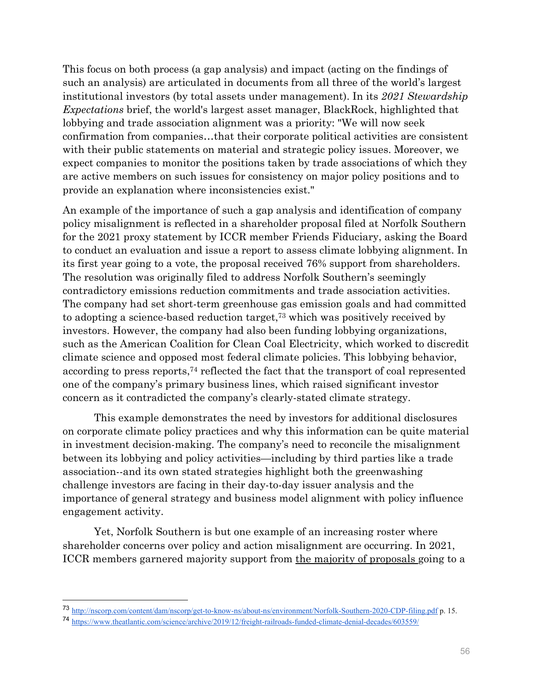This focus on both process (a gap analysis) and impact (acting on the findings of such an analysis) are articulated in documents from all three of the world's largest institutional investors (by total assets under management). In its *2021 Stewardship Expectations* brief, the world's largest asset manager, BlackRock, highlighted that lobbying and trade association alignment was a priority: "We will now seek confirmation from companies…that their corporate political activities are consistent with their public statements on material and strategic policy issues. Moreover, we expect companies to monitor the positions taken by trade associations of which they are active members on such issues for consistency on major policy positions and to provide an explanation where inconsistencies exist."

An example of the importance of such a gap analysis and identification of company policy misalignment is reflected in a shareholder proposal filed at Norfolk Southern for the 2021 proxy statement by ICCR member Friends Fiduciary, asking the Board to conduct an evaluation and issue a report to assess climate lobbying alignment. In its first year going to a vote, the proposal received 76% support from shareholders. The resolution was originally filed to address Norfolk Southern's seemingly contradictory emissions reduction commitments and trade association activities. The company had set short-term greenhouse gas emission goals and had committed to adopting a science-based reduction target,73 which was positively received by investors. However, the company had also been funding lobbying organizations, such as the American Coalition for Clean Coal Electricity, which worked to discredit climate science and opposed most federal climate policies. This lobbying behavior, according to press reports,74 reflected the fact that the transport of coal represented one of the company's primary business lines, which raised significant investor concern as it contradicted the company's clearly-stated climate strategy.

This example demonstrates the need by investors for additional disclosures on corporate climate policy practices and why this information can be quite material in investment decision-making. The company's need to reconcile the misalignment between its lobbying and policy activities—including by third parties like a trade association--and its own stated strategies highlight both the greenwashing challenge investors are facing in their day-to-day issuer analysis and the importance of general strategy and business model alignment with policy influence engagement activity.

Yet, Norfolk Southern is but one example of an increasing roster where shareholder concerns over policy and action misalignment are occurring. In 2021, ICCR members garnered majority support from the majority of proposals going to a

<sup>73</sup> http://nscorp.com/content/dam/nscorp/get-to-know-ns/about-ns/environment/Norfolk-Southern-2020-CDP-filing.pdf p. 15.

<sup>74</sup> https://www.theatlantic.com/science/archive/2019/12/freight-railroads-funded-climate-denial-decades/603559/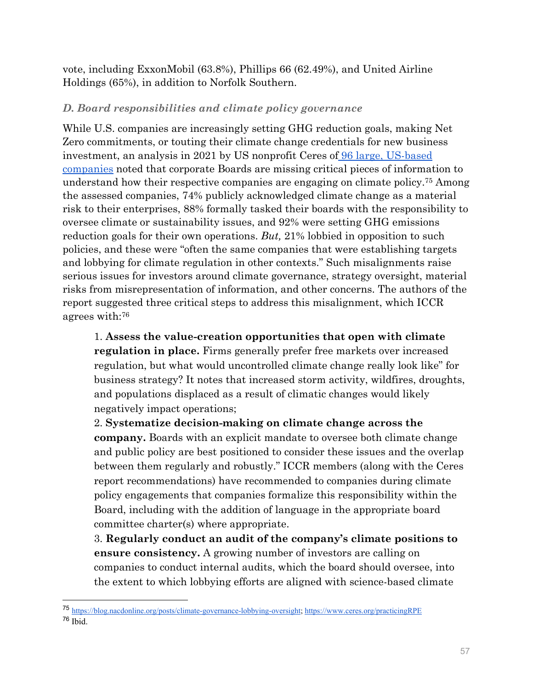vote, including ExxonMobil (63.8%), Phillips 66 (62.49%), and United Airline Holdings (65%), in addition to Norfolk Southern.

### *D. Board responsibilities and climate policy governance*

While U.S. companies are increasingly setting GHG reduction goals, making Net Zero commitments, or touting their climate change credentials for new business investment, an analysis in 2021 by US nonprofit Ceres of 96 large, US-based companies noted that corporate Boards are missing critical pieces of information to understand how their respective companies are engaging on climate policy.75 Among the assessed companies, 74% publicly acknowledged climate change as a material risk to their enterprises, 88% formally tasked their boards with the responsibility to oversee climate or sustainability issues, and 92% were setting GHG emissions reduction goals for their own operations. *But,* 21% lobbied in opposition to such policies, and these were "often the same companies that were establishing targets and lobbying for climate regulation in other contexts." Such misalignments raise serious issues for investors around climate governance, strategy oversight, material risks from misrepresentation of information, and other concerns. The authors of the report suggested three critical steps to address this misalignment, which ICCR agrees with:76

1. **Assess the value-creation opportunities that open with climate regulation in place.** Firms generally prefer free markets over increased regulation, but what would uncontrolled climate change really look like" for business strategy? It notes that increased storm activity, wildfires, droughts, and populations displaced as a result of climatic changes would likely negatively impact operations;

2. **Systematize decision-making on climate change across the company.** Boards with an explicit mandate to oversee both climate change and public policy are best positioned to consider these issues and the overlap between them regularly and robustly." ICCR members (along with the Ceres report recommendations) have recommended to companies during climate policy engagements that companies formalize this responsibility within the Board, including with the addition of language in the appropriate board committee charter(s) where appropriate.

3. **Regularly conduct an audit of the company's climate positions to ensure consistency.** A growing number of investors are calling on companies to conduct internal audits, which the board should oversee, into the extent to which lobbying efforts are aligned with science-based climate

<sup>75</sup> https://blog.nacdonline.org/posts/climate-governance-lobbying-oversight; https://www.ceres.org/practicingRPE <sup>76</sup> Ibid.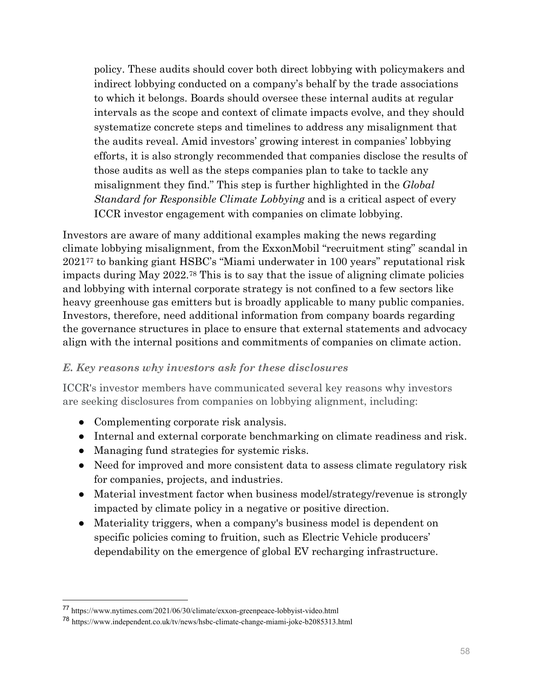policy. These audits should cover both direct lobbying with policymakers and indirect lobbying conducted on a company's behalf by the trade associations to which it belongs. Boards should oversee these internal audits at regular intervals as the scope and context of climate impacts evolve, and they should systematize concrete steps and timelines to address any misalignment that the audits reveal. Amid investors' growing interest in companies' lobbying efforts, it is also strongly recommended that companies disclose the results of those audits as well as the steps companies plan to take to tackle any misalignment they find." This step is further highlighted in the *Global Standard for Responsible Climate Lobbying* and is a critical aspect of every ICCR investor engagement with companies on climate lobbying.

Investors are aware of many additional examples making the news regarding climate lobbying misalignment, from the ExxonMobil "recruitment sting" scandal in 202177 to banking giant HSBC's "Miami underwater in 100 years" reputational risk impacts during May 2022.78 This is to say that the issue of aligning climate policies and lobbying with internal corporate strategy is not confined to a few sectors like heavy greenhouse gas emitters but is broadly applicable to many public companies. Investors, therefore, need additional information from company boards regarding the governance structures in place to ensure that external statements and advocacy align with the internal positions and commitments of companies on climate action.

### *E. Key reasons why investors ask for these disclosures*

ICCR's investor members have communicated several key reasons why investors are seeking disclosures from companies on lobbying alignment, including:

- Complementing corporate risk analysis.
- Internal and external corporate benchmarking on climate readiness and risk.
- Managing fund strategies for systemic risks.
- Need for improved and more consistent data to assess climate regulatory risk for companies, projects, and industries.
- Material investment factor when business model/strategy/revenue is strongly impacted by climate policy in a negative or positive direction.
- Materiality triggers, when a company's business model is dependent on specific policies coming to fruition, such as Electric Vehicle producers' dependability on the emergence of global EV recharging infrastructure.

<sup>77</sup> https://www.nytimes.com/2021/06/30/climate/exxon-greenpeace-lobbyist-video.html

<sup>78</sup> https://www.independent.co.uk/tv/news/hsbc-climate-change-miami-joke-b2085313.html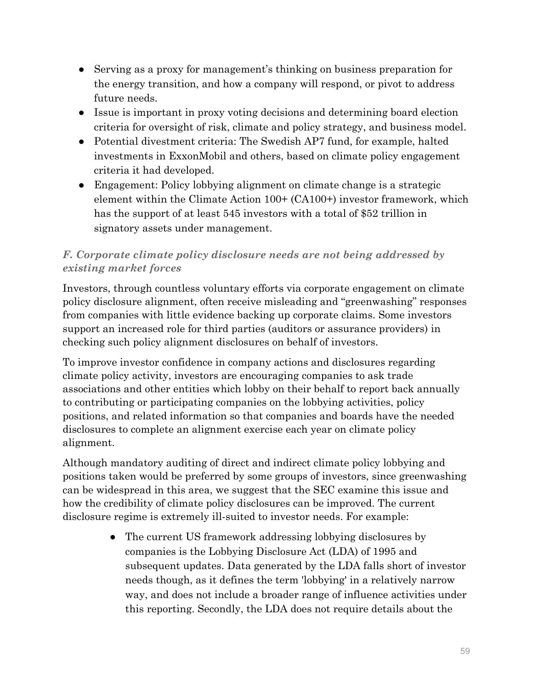- Serving as a proxy for management's thinking on business preparation for the energy transition, and how a company will respond, or pivot to address future needs.
- Issue is important in proxy voting decisions and determining board election criteria for oversight of risk, climate and policy strategy, and business model.
- Potential divestment criteria: The Swedish AP7 fund, for example, halted investments in ExxonMobil and others, based on climate policy engagement criteria it had developed.
- Engagement: Policy lobbying alignment on climate change is a strategic element within the Climate Action 100+ (CA100+) investor framework, which has the support of at least 545 investors with a total of \$52 trillion in signatory assets under management.

# *F. Corporate climate policy disclosure needs are not being addressed by existing market forces*

Investors, through countless voluntary efforts via corporate engagement on climate policy disclosure alignment, often receive misleading and "greenwashing" responses from companies with little evidence backing up corporate claims. Some investors support an increased role for third parties (auditors or assurance providers) in checking such policy alignment disclosures on behalf of investors.

To improve investor confidence in company actions and disclosures regarding climate policy activity, investors are encouraging companies to ask trade associations and other entities which lobby on their behalf to report back annually to contributing or participating companies on the lobbying activities, policy positions, and related information so that companies and boards have the needed disclosures to complete an alignment exercise each year on climate policy alignment.

Although mandatory auditing of direct and indirect climate policy lobbying and positions taken would be preferred by some groups of investors, since greenwashing can be widespread in this area, we suggest that the SEC examine this issue and how the credibility of climate policy disclosures can be improved. The current disclosure regime is extremely ill-suited to investor needs. For example:

> • The current US framework addressing lobbying disclosures by companies is the Lobbying Disclosure Act (LDA) of 1995 and subsequent updates. Data generated by the LDA falls short of investor needs though, as it defines the term 'lobbying' in a relatively narrow way, and does not include a broader range of influence activities under this reporting. Secondly, the LDA does not require details about the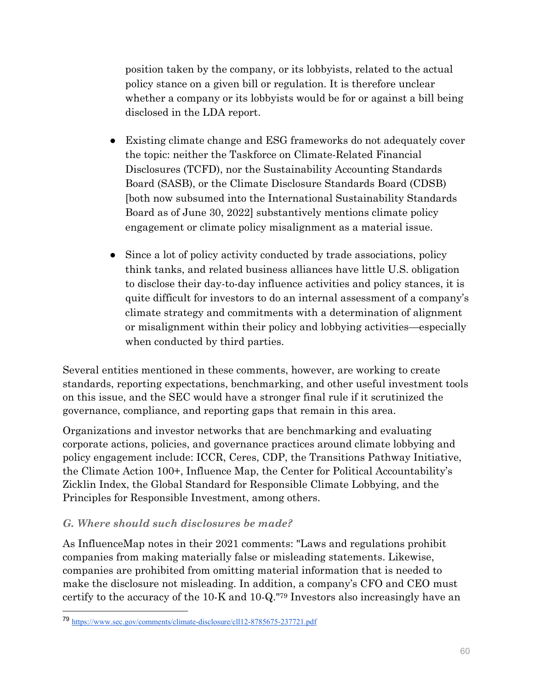position taken by the company, or its lobbyists, related to the actual policy stance on a given bill or regulation. It is therefore unclear whether a company or its lobbyists would be for or against a bill being disclosed in the LDA report.

- Existing climate change and ESG frameworks do not adequately cover the topic: neither the Taskforce on Climate-Related Financial Disclosures (TCFD), nor the Sustainability Accounting Standards Board (SASB), or the Climate Disclosure Standards Board (CDSB) [both now subsumed into the International Sustainability Standards Board as of June 30, 2022] substantively mentions climate policy engagement or climate policy misalignment as a material issue.
- Since a lot of policy activity conducted by trade associations, policy think tanks, and related business alliances have little U.S. obligation to disclose their day-to-day influence activities and policy stances, it is quite difficult for investors to do an internal assessment of a company's climate strategy and commitments with a determination of alignment or misalignment within their policy and lobbying activities—especially when conducted by third parties.

Several entities mentioned in these comments, however, are working to create standards, reporting expectations, benchmarking, and other useful investment tools on this issue, and the SEC would have a stronger final rule if it scrutinized the governance, compliance, and reporting gaps that remain in this area.

Organizations and investor networks that are benchmarking and evaluating corporate actions, policies, and governance practices around climate lobbying and policy engagement include: ICCR, Ceres, CDP, the Transitions Pathway Initiative, the Climate Action 100+, Influence Map, the Center for Political Accountability's Zicklin Index, the Global Standard for Responsible Climate Lobbying, and the Principles for Responsible Investment, among others.

# *G. Where should such disclosures be made?*

As InfluenceMap notes in their 2021 comments: "Laws and regulations prohibit companies from making materially false or misleading statements. Likewise, companies are prohibited from omitting material information that is needed to make the disclosure not misleading. In addition, a company's CFO and CEO must certify to the accuracy of the 10-K and 10-Q."79 Investors also increasingly have an

<sup>79</sup> https://www.sec.gov/comments/climate-disclosure/cll12-8785675-237721.pdf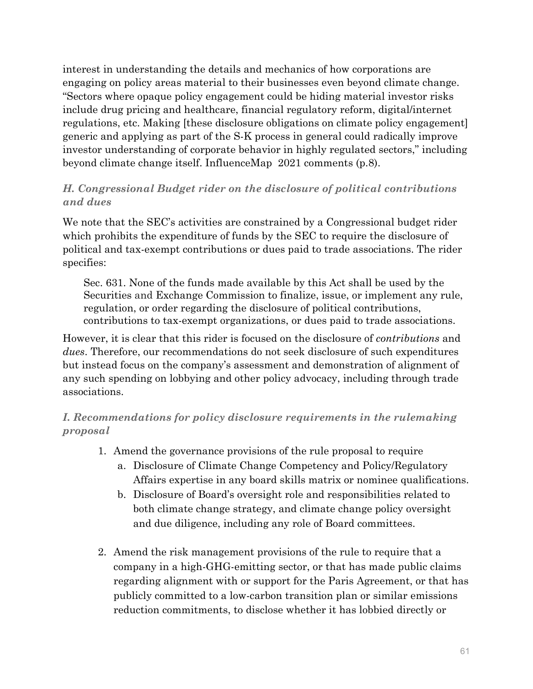interest in understanding the details and mechanics of how corporations are engaging on policy areas material to their businesses even beyond climate change. "Sectors where opaque policy engagement could be hiding material investor risks include drug pricing and healthcare, financial regulatory reform, digital/internet regulations, etc. Making [these disclosure obligations on climate policy engagement] generic and applying as part of the S-K process in general could radically improve investor understanding of corporate behavior in highly regulated sectors," including beyond climate change itself. InfluenceMap 2021 comments (p.8).

### *H. Congressional Budget rider on the disclosure of political contributions and dues*

We note that the SEC's activities are constrained by a Congressional budget rider which prohibits the expenditure of funds by the SEC to require the disclosure of political and tax-exempt contributions or dues paid to trade associations. The rider specifies:

Sec. 631. None of the funds made available by this Act shall be used by the Securities and Exchange Commission to finalize, issue, or implement any rule, regulation, or order regarding the disclosure of political contributions, contributions to tax-exempt organizations, or dues paid to trade associations.

However, it is clear that this rider is focused on the disclosure of *contributions* and *dues*. Therefore, our recommendations do not seek disclosure of such expenditures but instead focus on the company's assessment and demonstration of alignment of any such spending on lobbying and other policy advocacy, including through trade associations.

# *I. Recommendations for policy disclosure requirements in the rulemaking proposal*

- 1. Amend the governance provisions of the rule proposal to require
	- a. Disclosure of Climate Change Competency and Policy/Regulatory Affairs expertise in any board skills matrix or nominee qualifications.
	- b. Disclosure of Board's oversight role and responsibilities related to both climate change strategy, and climate change policy oversight and due diligence, including any role of Board committees.
- 2. Amend the risk management provisions of the rule to require that a company in a high-GHG-emitting sector, or that has made public claims regarding alignment with or support for the Paris Agreement, or that has publicly committed to a low-carbon transition plan or similar emissions reduction commitments, to disclose whether it has lobbied directly or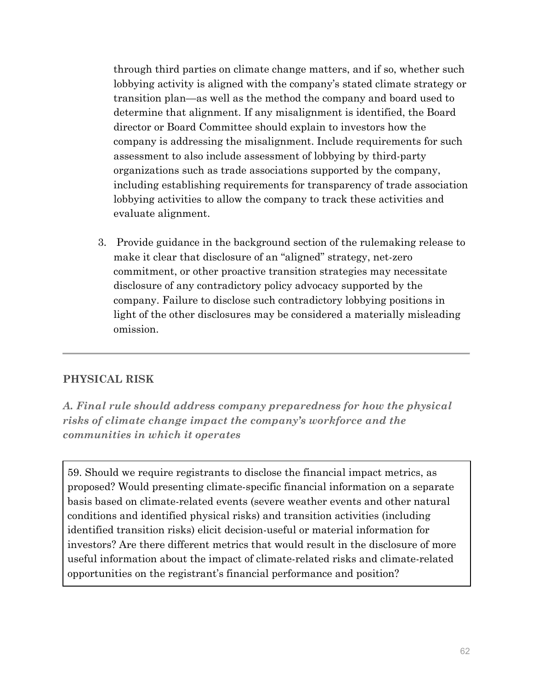through third parties on climate change matters, and if so, whether such lobbying activity is aligned with the company's stated climate strategy or transition plan—as well as the method the company and board used to determine that alignment. If any misalignment is identified, the Board director or Board Committee should explain to investors how the company is addressing the misalignment. Include requirements for such assessment to also include assessment of lobbying by third-party organizations such as trade associations supported by the company, including establishing requirements for transparency of trade association lobbying activities to allow the company to track these activities and evaluate alignment.

3. Provide guidance in the background section of the rulemaking release to make it clear that disclosure of an "aligned" strategy, net-zero commitment, or other proactive transition strategies may necessitate disclosure of any contradictory policy advocacy supported by the company. Failure to disclose such contradictory lobbying positions in light of the other disclosures may be considered a materially misleading omission.

# **PHYSICAL RISK**

*A. Final rule should address company preparedness for how the physical risks of climate change impact the company's workforce and the communities in which it operates* 

59. Should we require registrants to disclose the financial impact metrics, as proposed? Would presenting climate-specific financial information on a separate basis based on climate-related events (severe weather events and other natural conditions and identified physical risks) and transition activities (including identified transition risks) elicit decision-useful or material information for investors? Are there different metrics that would result in the disclosure of more useful information about the impact of climate-related risks and climate-related opportunities on the registrant's financial performance and position?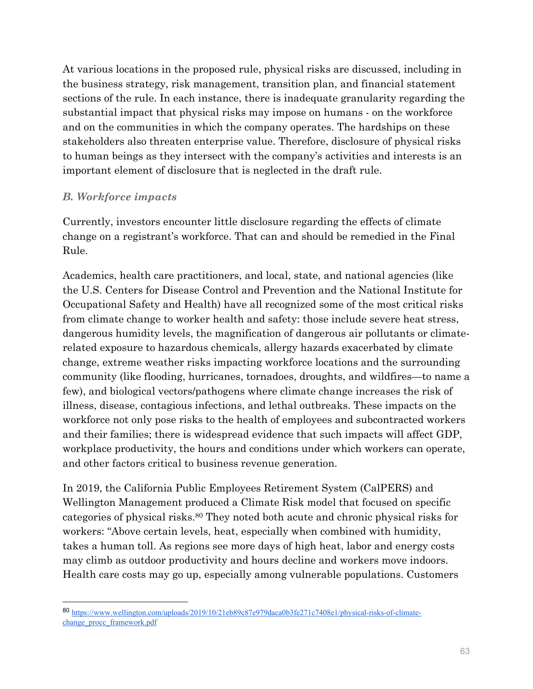At various locations in the proposed rule, physical risks are discussed, including in the business strategy, risk management, transition plan, and financial statement sections of the rule. In each instance, there is inadequate granularity regarding the substantial impact that physical risks may impose on humans - on the workforce and on the communities in which the company operates. The hardships on these stakeholders also threaten enterprise value. Therefore, disclosure of physical risks to human beings as they intersect with the company's activities and interests is an important element of disclosure that is neglected in the draft rule.

### *B. Workforce impacts*

 $\overline{a}$ 

Currently, investors encounter little disclosure regarding the effects of climate change on a registrant's workforce. That can and should be remedied in the Final Rule.

Academics, health care practitioners, and local, state, and national agencies (like the U.S. Centers for Disease Control and Prevention and the National Institute for Occupational Safety and Health) have all recognized some of the most critical risks from climate change to worker health and safety: those include severe heat stress, dangerous humidity levels, the magnification of dangerous air pollutants or climaterelated exposure to hazardous chemicals, allergy hazards exacerbated by climate change, extreme weather risks impacting workforce locations and the surrounding community (like flooding, hurricanes, tornadoes, droughts, and wildfires—to name a few), and biological vectors/pathogens where climate change increases the risk of illness, disease, contagious infections, and lethal outbreaks. These impacts on the workforce not only pose risks to the health of employees and subcontracted workers and their families; there is widespread evidence that such impacts will affect GDP, workplace productivity, the hours and conditions under which workers can operate, and other factors critical to business revenue generation.

In 2019, the California Public Employees Retirement System (CalPERS) and Wellington Management produced a Climate Risk model that focused on specific categories of physical risks.80 They noted both acute and chronic physical risks for workers: "Above certain levels, heat, especially when combined with humidity, takes a human toll. As regions see more days of high heat, labor and energy costs may climb as outdoor productivity and hours decline and workers move indoors. Health care costs may go up, especially among vulnerable populations. Customers

<sup>80</sup> https://www.wellington.com/uploads/2019/10/21eb89c87e979daca0b3fe271c7408e1/physical-risks-of-climatechange\_procc\_framework.pdf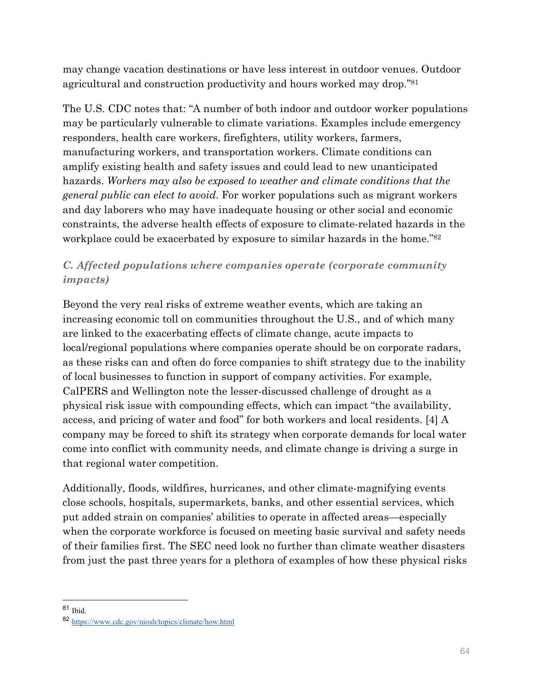may change vacation destinations or have less interest in outdoor venues. Outdoor agricultural and construction productivity and hours worked may drop."81

The U.S. CDC notes that: "A number of both indoor and outdoor worker populations may be particularly vulnerable to climate variations. Examples include emergency responders, health care workers, firefighters, utility workers, farmers, manufacturing workers, and transportation workers. Climate conditions can amplify existing health and safety issues and could lead to new unanticipated hazards. *Workers may also be exposed to weather and climate conditions that the general public can elect to avoid*. For worker populations such as migrant workers and day laborers who may have inadequate housing or other social and economic constraints, the adverse health effects of exposure to climate-related hazards in the workplace could be exacerbated by exposure to similar hazards in the home."82

# *C. Affected populations where companies operate (corporate community impacts)*

Beyond the very real risks of extreme weather events, which are taking an increasing economic toll on communities throughout the U.S., and of which many are linked to the exacerbating effects of climate change, acute impacts to local/regional populations where companies operate should be on corporate radars, as these risks can and often do force companies to shift strategy due to the inability of local businesses to function in support of company activities. For example, CalPERS and Wellington note the lesser-discussed challenge of drought as a physical risk issue with compounding effects, which can impact "the availability, access, and pricing of water and food" for both workers and local residents. [4] A company may be forced to shift its strategy when corporate demands for local water come into conflict with community needs, and climate change is driving a surge in that regional water competition.

Additionally, floods, wildfires, hurricanes, and other climate-magnifying events close schools, hospitals, supermarkets, banks, and other essential services, which put added strain on companies' abilities to operate in affected areas—especially when the corporate workforce is focused on meeting basic survival and safety needs of their families first. The SEC need look no further than climate weather disasters from just the past three years for a plethora of examples of how these physical risks

<sup>81</sup> Ibid.

<sup>82</sup> https://www.cdc.gov/niosh/topics/climate/how.html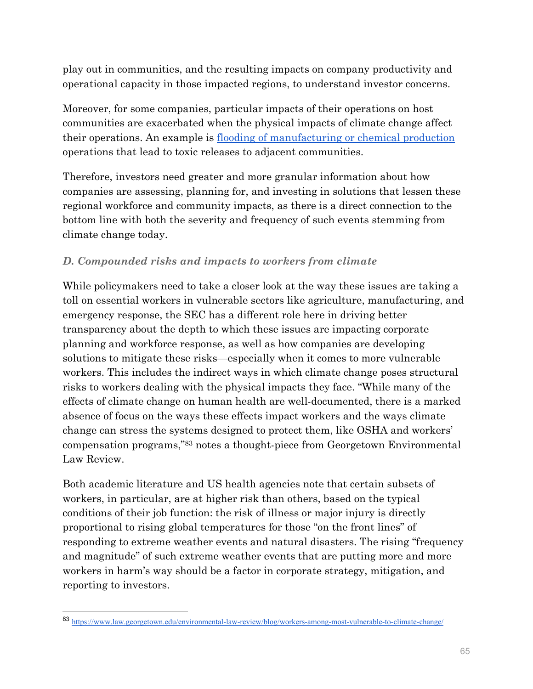play out in communities, and the resulting impacts on company productivity and operational capacity in those impacted regions, to understand investor concerns.

Moreover, for some companies, particular impacts of their operations on host communities are exacerbated when the physical impacts of climate change affect their operations. An example is flooding of manufacturing or chemical production operations that lead to toxic releases to adjacent communities.

Therefore, investors need greater and more granular information about how companies are assessing, planning for, and investing in solutions that lessen these regional workforce and community impacts, as there is a direct connection to the bottom line with both the severity and frequency of such events stemming from climate change today.

# *D. Compounded risks and impacts to workers from climate*

While policymakers need to take a closer look at the way these issues are taking a toll on essential workers in vulnerable sectors like agriculture, manufacturing, and emergency response, the SEC has a different role here in driving better transparency about the depth to which these issues are impacting corporate planning and workforce response, as well as how companies are developing solutions to mitigate these risks—especially when it comes to more vulnerable workers. This includes the indirect ways in which climate change poses structural risks to workers dealing with the physical impacts they face. "While many of the effects of climate change on human health are well-documented, there is a marked absence of focus on the ways these effects impact workers and the ways climate change can stress the systems designed to protect them, like OSHA and workers' compensation programs,"83 notes a thought-piece from Georgetown Environmental Law Review.

Both academic literature and US health agencies note that certain subsets of workers, in particular, are at higher risk than others, based on the typical conditions of their job function: the risk of illness or major injury is directly proportional to rising global temperatures for those "on the front lines" of responding to extreme weather events and natural disasters. The rising "frequency and magnitude" of such extreme weather events that are putting more and more workers in harm's way should be a factor in corporate strategy, mitigation, and reporting to investors.

<sup>83</sup> https://www.law.georgetown.edu/environmental-law-review/blog/workers-among-most-vulnerable-to-climate-change/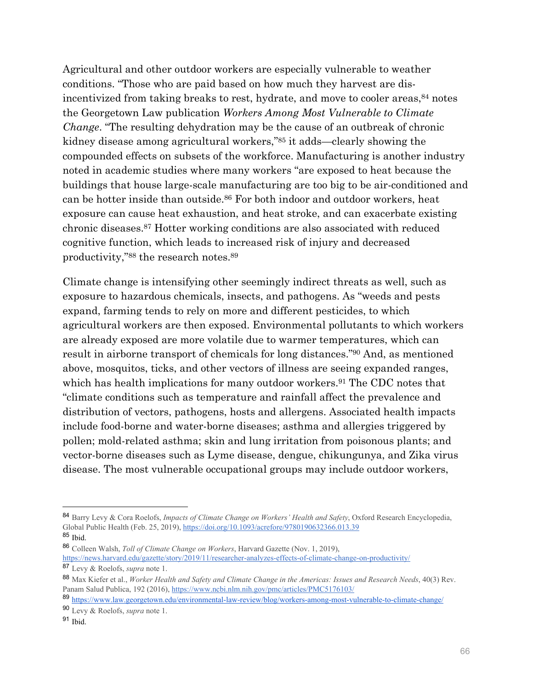Agricultural and other outdoor workers are especially vulnerable to weather conditions. "Those who are paid based on how much they harvest are disincentivized from taking breaks to rest, hydrate, and move to cooler areas, 84 notes the Georgetown Law publication *Workers Among Most Vulnerable to Climate Change*. "The resulting dehydration may be the cause of an outbreak of chronic kidney disease among agricultural workers,"85 it adds—clearly showing the compounded effects on subsets of the workforce. Manufacturing is another industry noted in academic studies where many workers "are exposed to heat because the buildings that house large-scale manufacturing are too big to be air-conditioned and can be hotter inside than outside.86 For both indoor and outdoor workers, heat exposure can cause heat exhaustion, and heat stroke, and can exacerbate existing chronic diseases.87 Hotter working conditions are also associated with reduced cognitive function, which leads to increased risk of injury and decreased productivity,"88 the research notes.89

Climate change is intensifying other seemingly indirect threats as well, such as exposure to hazardous chemicals, insects, and pathogens. As "weeds and pests expand, farming tends to rely on more and different pesticides, to which agricultural workers are then exposed. Environmental pollutants to which workers are already exposed are more volatile due to warmer temperatures, which can result in airborne transport of chemicals for long distances."90 And, as mentioned above, mosquitos, ticks, and other vectors of illness are seeing expanded ranges, which has health implications for many outdoor workers.<sup>91</sup> The CDC notes that "climate conditions such as temperature and rainfall affect the prevalence and distribution of vectors, pathogens, hosts and allergens. Associated health impacts include food-borne and water-borne diseases; asthma and allergies triggered by pollen; mold-related asthma; skin and lung irritation from poisonous plants; and vector-borne diseases such as Lyme disease, dengue, chikungunya, and Zika virus disease. The most vulnerable occupational groups may include outdoor workers,

<sup>84</sup> Barry Levy & Cora Roelofs, *Impacts of Climate Change on Workers' Health and Safety*, Oxford Research Encyclopedia, Global Public Health (Feb. 25, 2019), https://doi.org/10.1093/acrefore/9780190632366.013.39 <sup>85</sup> Ibid.

<sup>86</sup> Colleen Walsh, *Toll of Climate Change on Workers*, Harvard Gazette (Nov. 1, 2019), https://news.harvard.edu/gazette/story/2019/11/researcher-analyzes-effects-of-climate-change-on-productivity/

<sup>87</sup> Levy & Roelofs, *supra* note 1.

<sup>88</sup> Max Kiefer et al., *Worker Health and Safety and Climate Change in the Americas: Issues and Research Needs*, 40(3) Rev. Panam Salud Publica, 192 (2016), https://www.ncbi.nlm.nih.gov/pmc/articles/PMC5176103/

<sup>89</sup> https://www.law.georgetown.edu/environmental-law-review/blog/workers-among-most-vulnerable-to-climate-change/ <sup>90</sup> Levy & Roelofs, *supra* note 1.

<sup>91</sup> Ibid.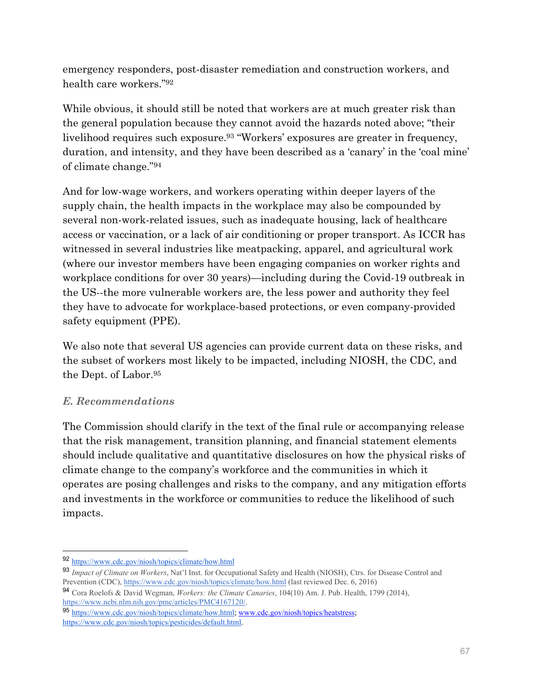emergency responders, post-disaster remediation and construction workers, and health care workers."92

While obvious, it should still be noted that workers are at much greater risk than the general population because they cannot avoid the hazards noted above; "their livelihood requires such exposure.<sup>93</sup> "Workers' exposures are greater in frequency, duration, and intensity, and they have been described as a 'canary' in the 'coal mine' of climate change."94

And for low-wage workers, and workers operating within deeper layers of the supply chain, the health impacts in the workplace may also be compounded by several non-work-related issues, such as inadequate housing, lack of healthcare access or vaccination, or a lack of air conditioning or proper transport. As ICCR has witnessed in several industries like meatpacking, apparel, and agricultural work (where our investor members have been engaging companies on worker rights and workplace conditions for over 30 years)—including during the Covid-19 outbreak in the US--the more vulnerable workers are, the less power and authority they feel they have to advocate for workplace-based protections, or even company-provided safety equipment (PPE).

We also note that several US agencies can provide current data on these risks, and the subset of workers most likely to be impacted, including NIOSH, the CDC, and the Dept. of Labor.95

# *E. Recommendations*

The Commission should clarify in the text of the final rule or accompanying release that the risk management, transition planning, and financial statement elements should include qualitative and quantitative disclosures on how the physical risks of climate change to the company's workforce and the communities in which it operates are posing challenges and risks to the company, and any mitigation efforts and investments in the workforce or communities to reduce the likelihood of such impacts.

<sup>92</sup> https://www.cdc.gov/niosh/topics/climate/how.html

<sup>93</sup> *Impact of Climate on Workers*, Nat'l Inst. for Occupational Safety and Health (NIOSH), Ctrs. for Disease Control and Prevention (CDC), https://www.cdc.gov/niosh/topics/climate/how.html (last reviewed Dec. 6, 2016)

<sup>94</sup> Cora Roelofs & David Wegman, *Workers: the Climate Canaries*, 104(10) Am. J. Pub. Health, 1799 (2014), https://www.ncbi.nlm.nih.gov/pmc/articles/PMC4167120/.

<sup>95</sup> https://www.cdc.gov/niosh/topics/climate/how.html; www.cdc.gov/niosh/topics/heatstress; https://www.cdc.gov/niosh/topics/pesticides/default.html.